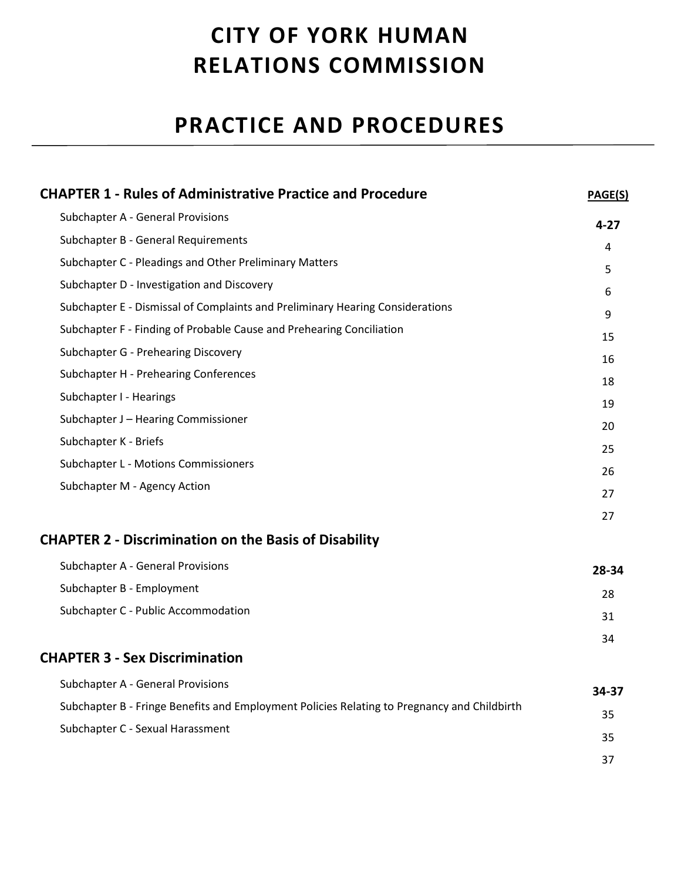# **CITY OF YORK HUMAN RELATIONS COMMISSION**

# **PRACTICE AND PROCEDURES**

| <b>CHAPTER 1 - Rules of Administrative Practice and Procedure</b>                           | PAGE(S)  |
|---------------------------------------------------------------------------------------------|----------|
| <b>Subchapter A - General Provisions</b>                                                    | $4 - 27$ |
| Subchapter B - General Requirements                                                         | 4        |
| Subchapter C - Pleadings and Other Preliminary Matters                                      | 5        |
| Subchapter D - Investigation and Discovery                                                  | 6        |
| Subchapter E - Dismissal of Complaints and Preliminary Hearing Considerations               | 9        |
| Subchapter F - Finding of Probable Cause and Prehearing Conciliation                        | 15       |
| Subchapter G - Prehearing Discovery                                                         | 16       |
| Subchapter H - Prehearing Conferences                                                       | 18       |
| Subchapter I - Hearings                                                                     | 19       |
| Subchapter J - Hearing Commissioner                                                         | 20       |
| Subchapter K - Briefs                                                                       | 25       |
| Subchapter L - Motions Commissioners                                                        | 26       |
| Subchapter M - Agency Action                                                                | 27       |
|                                                                                             | 27       |
| <b>CHAPTER 2 - Discrimination on the Basis of Disability</b>                                |          |
| <b>Subchapter A - General Provisions</b>                                                    | 28-34    |
| Subchapter B - Employment                                                                   | 28       |
| Subchapter C - Public Accommodation                                                         | 31       |
|                                                                                             | 34       |
| <b>CHAPTER 3 - Sex Discrimination</b>                                                       |          |
| Subchapter A - General Provisions                                                           | 34-37    |
| Subchapter B - Fringe Benefits and Employment Policies Relating to Pregnancy and Childbirth | 35       |
| Subchapter C - Sexual Harassment                                                            | 35       |
|                                                                                             | 37       |
|                                                                                             |          |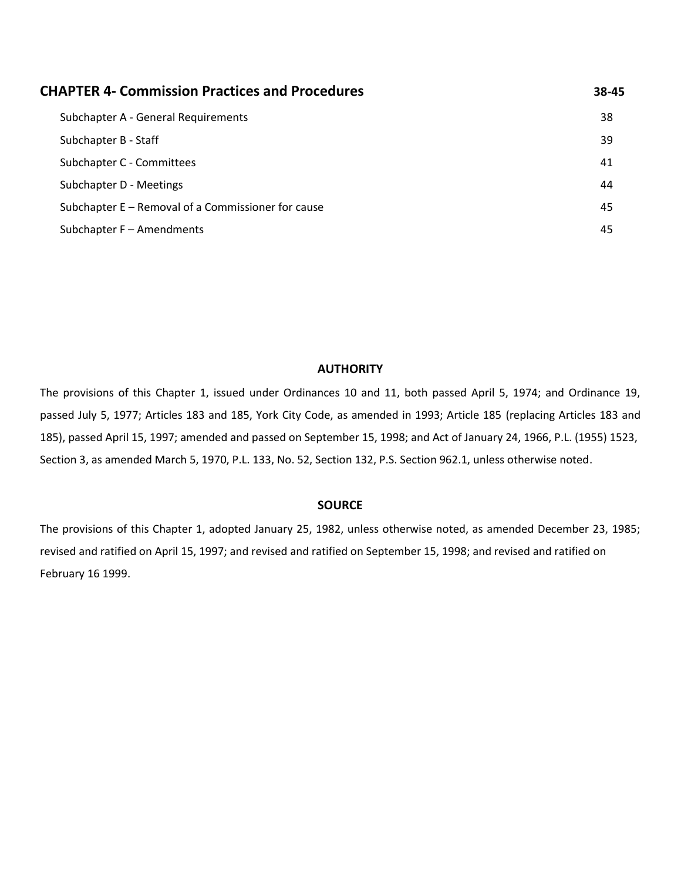| <b>CHAPTER 4- Commission Practices and Procedures</b> | 38-45 |
|-------------------------------------------------------|-------|
| Subchapter A - General Requirements                   | 38    |
| Subchapter B - Staff                                  | 39    |
| Subchapter C - Committees                             | 41    |
| Subchapter D - Meetings                               | 44    |
| Subchapter E – Removal of a Commissioner for cause    | 45    |
| Subchapter F - Amendments                             | 45    |

#### **AUTHORITY**

The provisions of this Chapter 1, issued under Ordinances 10 and 11, both passed April 5, 1974; and Ordinance 19, passed July 5, 1977; Articles 183 and 185, York City Code, as amended in 1993; Article 185 (replacing Articles 183 and 185), passed April 15, 1997; amended and passed on September 15, 1998; and Act of January 24, 1966, P.L. (1955) 1523, Section 3, as amended March 5, 1970, P.L. 133, No. 52, Section 132, P.S. Section 962.1, unless otherwise noted.

#### **SOURCE**

The provisions of this Chapter 1, adopted January 25, 1982, unless otherwise noted, as amended December 23, 1985; revised and ratified on April 15, 1997; and revised and ratified on September 15, 1998; and revised and ratified on February 16 1999.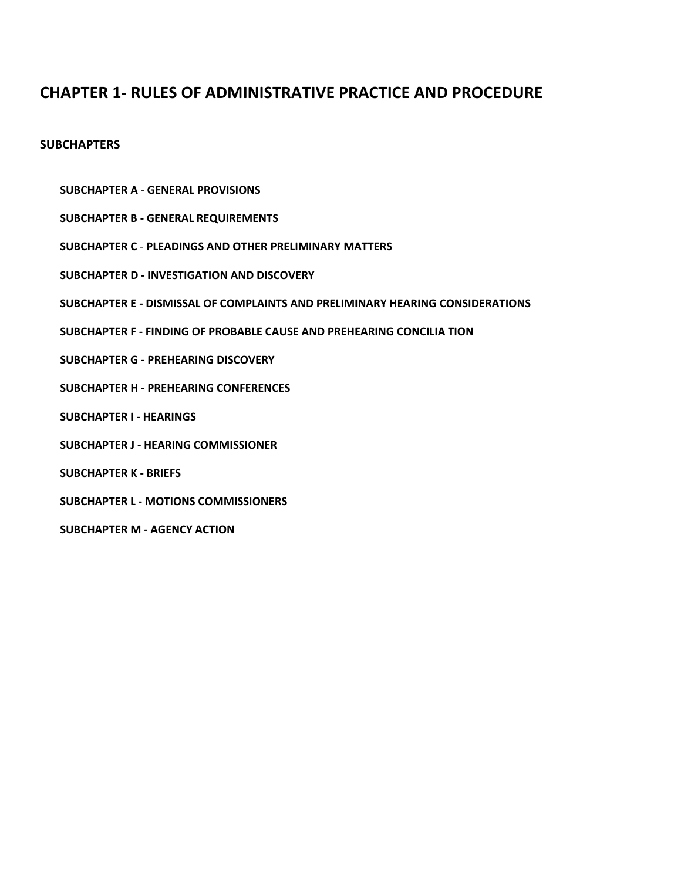# **CHAPTER 1- RULES OF ADMINISTRATIVE PRACTICE AND PROCEDURE**

#### **SUBCHAPTERS**

- **SUBCHAPTER A GENERAL PROVISIONS**
- **SUBCHAPTER B - GENERAL REQUIREMENTS**
- **SUBCHAPTER C PLEADINGS AND OTHER PRELIMINARY MATTERS**
- **SUBCHAPTER D - INVESTIGATION AND DISCOVERY**
- **SUBCHAPTER E - DISMISSAL OF COMPLAINTS AND PRELIMINARY HEARING CONSIDERATIONS**
- **SUBCHAPTER F - FINDING OF PROBABLE CAUSE AND PREHEARING CONCILIA TION**
- **SUBCHAPTER G - PREHEARING DISCOVERY**
- **SUBCHAPTER H - PREHEARING CONFERENCES**
- **SUBCHAPTER I - HEARINGS**
- **SUBCHAPTER J - HEARING COMMISSIONER**
- **SUBCHAPTER K - BRIEFS**
- **SUBCHAPTER L - MOTIONS COMMISSIONERS**
- **SUBCHAPTER M - AGENCY ACTION**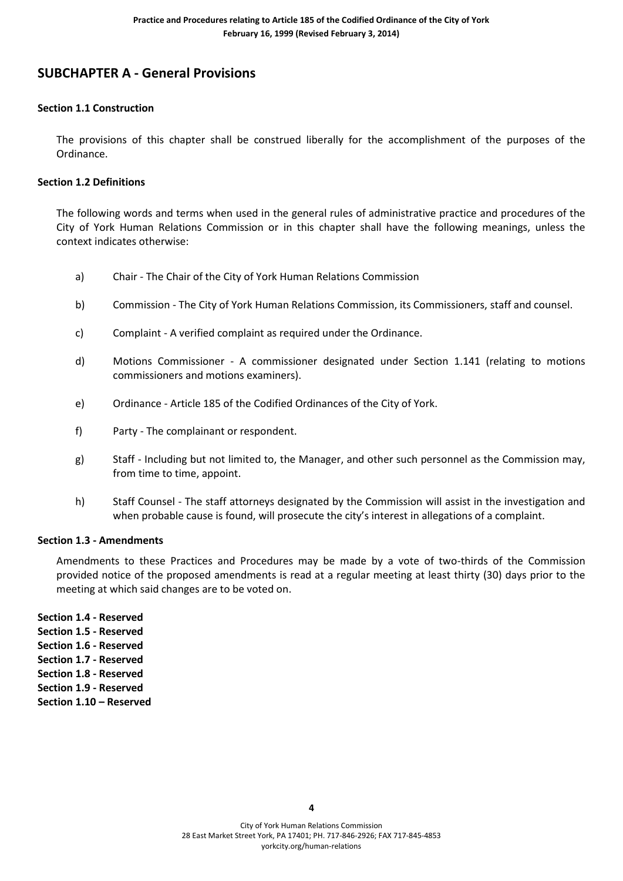# **SUBCHAPTER A - General Provisions**

#### **Section 1.1 Construction**

The provisions of this chapter shall be construed liberally for the accomplishment of the purposes of the Ordinance.

#### **Section 1.2 Definitions**

The following words and terms when used in the general rules of administrative practice and procedures of the City of York Human Relations Commission or in this chapter shall have the following meanings, unless the context indicates otherwise:

- a) Chair The Chair of the City of York Human Relations Commission
- b) Commission The City of York Human Relations Commission, its Commissioners, staff and counsel.
- c) Complaint A verified complaint as required under the Ordinance.
- d) Motions Commissioner A commissioner designated under Section 1.141 (relating to motions commissioners and motions examiners).
- e) Ordinance Article 185 of the Codified Ordinances of the City of York.
- f) Party The complainant or respondent.
- g) Staff Including but not limited to, the Manager, and other such personnel as the Commission may, from time to time, appoint.
- h) Staff Counsel The staff attorneys designated by the Commission will assist in the investigation and when probable cause is found, will prosecute the city's interest in allegations of a complaint.

#### **Section 1.3 - Amendments**

Amendments to these Practices and Procedures may be made by a vote of two-thirds of the Commission provided notice of the proposed amendments is read at a regular meeting at least thirty (30) days prior to the meeting at which said changes are to be voted on.

**Section 1.4 - Reserved Section 1.5 - Reserved Section 1.6 - Reserved Section 1.7 - Reserved Section 1.8 - Reserved Section 1.9 - Reserved Section 1.10 – Reserved**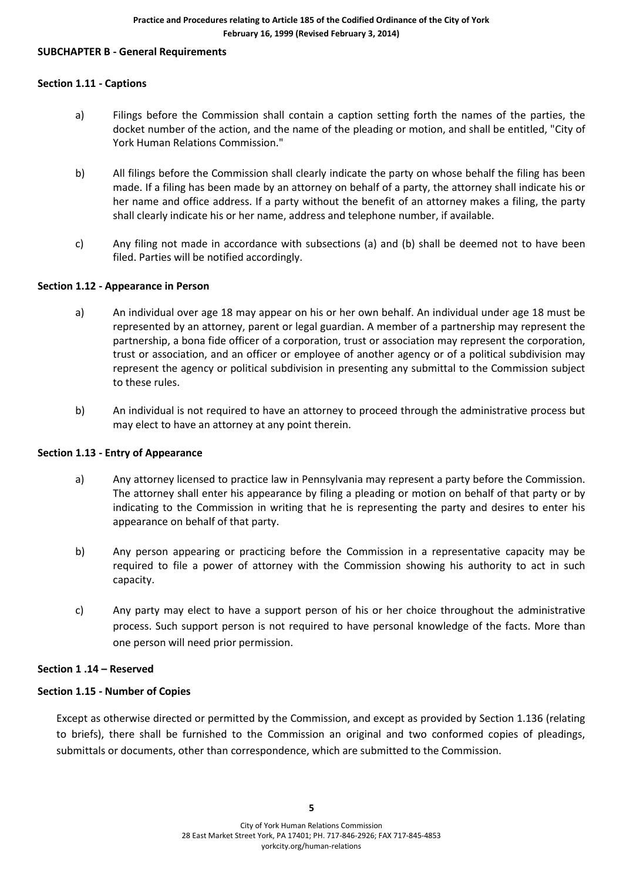#### **SUBCHAPTER B - General Requirements**

#### **Section 1.11 - Captions**

- a) Filings before the Commission shall contain a caption setting forth the names of the parties, the docket number of the action, and the name of the pleading or motion, and shall be entitled, "City of York Human Relations Commission."
- b) All filings before the Commission shall clearly indicate the party on whose behalf the filing has been made. If a filing has been made by an attorney on behalf of a party, the attorney shall indicate his or her name and office address. If a party without the benefit of an attorney makes a filing, the party shall clearly indicate his or her name, address and telephone number, if available.
- c) Any filing not made in accordance with subsections (a) and (b) shall be deemed not to have been filed. Parties will be notified accordingly.

#### **Section 1.12 - Appearance in Person**

- a) An individual over age 18 may appear on his or her own behalf. An individual under age 18 must be represented by an attorney, parent or legal guardian. A member of a partnership may represent the partnership, a bona fide officer of a corporation, trust or association may represent the corporation, trust or association, and an officer or employee of another agency or of a political subdivision may represent the agency or political subdivision in presenting any submittal to the Commission subject to these rules.
- b) An individual is not required to have an attorney to proceed through the administrative process but may elect to have an attorney at any point therein.

#### **Section 1.13 - Entry of Appearance**

- a) Any attorney licensed to practice law in Pennsylvania may represent a party before the Commission. The attorney shall enter his appearance by filing a pleading or motion on behalf of that party or by indicating to the Commission in writing that he is representing the party and desires to enter his appearance on behalf of that party.
- b) Any person appearing or practicing before the Commission in a representative capacity may be required to file a power of attorney with the Commission showing his authority to act in such capacity.
- c) Any party may elect to have a support person of his or her choice throughout the administrative process. Such support person is not required to have personal knowledge of the facts. More than one person will need prior permission.

#### **Section 1 .14 – Reserved**

#### **Section 1.15 - Number of Copies**

Except as otherwise directed or permitted by the Commission, and except as provided by Section 1.136 (relating to briefs), there shall be furnished to the Commission an original and two conformed copies of pleadings, submittals or documents, other than correspondence, which are submitted to the Commission.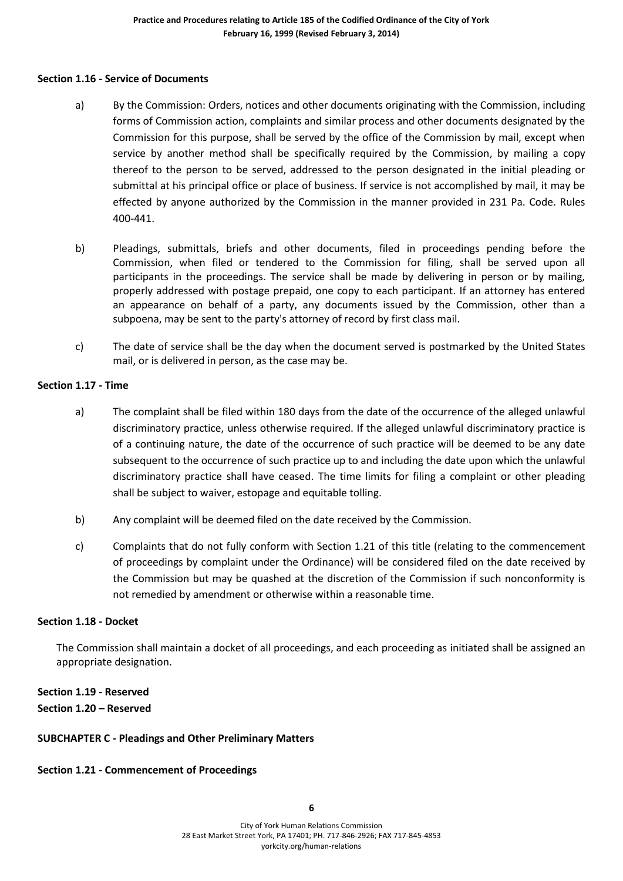#### **Section 1.16 - Service of Documents**

- a) By the Commission: Orders, notices and other documents originating with the Commission, including forms of Commission action, complaints and similar process and other documents designated by the Commission for this purpose, shall be served by the office of the Commission by mail, except when service by another method shall be specifically required by the Commission, by mailing a copy thereof to the person to be served, addressed to the person designated in the initial pleading or submittal at his principal office or place of business. If service is not accomplished by mail, it may be effected by anyone authorized by the Commission in the manner provided in 231 Pa. Code. Rules 400-441.
- b) Pleadings, submittals, briefs and other documents, filed in proceedings pending before the Commission, when filed or tendered to the Commission for filing, shall be served upon all participants in the proceedings. The service shall be made by delivering in person or by mailing, properly addressed with postage prepaid, one copy to each participant. If an attorney has entered an appearance on behalf of a party, any documents issued by the Commission, other than a subpoena, may be sent to the party's attorney of record by first class mail.
- c) The date of service shall be the day when the document served is postmarked by the United States mail, or is delivered in person, as the case may be.

#### **Section 1.17 - Time**

- a) The complaint shall be filed within 180 days from the date of the occurrence of the alleged unlawful discriminatory practice, unless otherwise required. If the alleged unlawful discriminatory practice is of a continuing nature, the date of the occurrence of such practice will be deemed to be any date subsequent to the occurrence of such practice up to and including the date upon which the unlawful discriminatory practice shall have ceased. The time limits for filing a complaint or other pleading shall be subject to waiver, estopage and equitable tolling.
- b) Any complaint will be deemed filed on the date received by the Commission.
- c) Complaints that do not fully conform with Section 1.21 of this title (relating to the commencement of proceedings by complaint under the Ordinance) will be considered filed on the date received by the Commission but may be quashed at the discretion of the Commission if such nonconformity is not remedied by amendment or otherwise within a reasonable time.

#### **Section 1.18 - Docket**

The Commission shall maintain a docket of all proceedings, and each proceeding as initiated shall be assigned an appropriate designation.

# **Section 1.19 - Reserved Section 1.20 – Reserved**

#### **SUBCHAPTER C - Pleadings and Other Preliminary Matters**

#### **Section 1.21 - Commencement of Proceedings**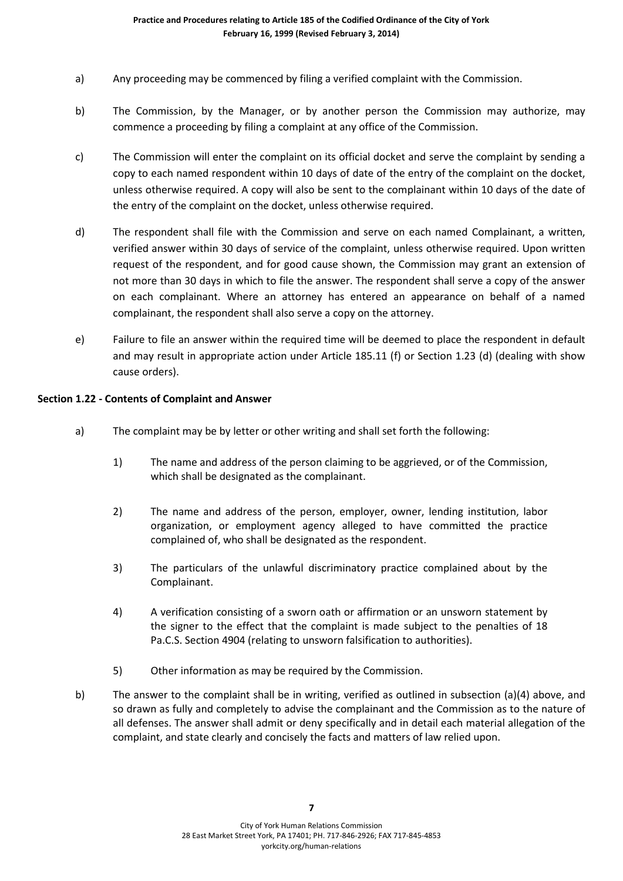- a) Any proceeding may be commenced by filing a verified complaint with the Commission.
- b) The Commission, by the Manager, or by another person the Commission may authorize, may commence a proceeding by filing a complaint at any office of the Commission.
- c) The Commission will enter the complaint on its official docket and serve the complaint by sending a copy to each named respondent within 10 days of date of the entry of the complaint on the docket, unless otherwise required. A copy will also be sent to the complainant within 10 days of the date of the entry of the complaint on the docket, unless otherwise required.
- d) The respondent shall file with the Commission and serve on each named Complainant, a written, verified answer within 30 days of service of the complaint, unless otherwise required. Upon written request of the respondent, and for good cause shown, the Commission may grant an extension of not more than 30 days in which to file the answer. The respondent shall serve a copy of the answer on each complainant. Where an attorney has entered an appearance on behalf of a named complainant, the respondent shall also serve a copy on the attorney.
- e) Failure to file an answer within the required time will be deemed to place the respondent in default and may result in appropriate action under Article 185.11 (f) or Section 1.23 (d) (dealing with show cause orders).

# **Section 1.22 - Contents of Complaint and Answer**

- a) The complaint may be by letter or other writing and shall set forth the following:
	- 1) The name and address of the person claiming to be aggrieved, or of the Commission, which shall be designated as the complainant.
	- 2) The name and address of the person, employer, owner, lending institution, labor organization, or employment agency alleged to have committed the practice complained of, who shall be designated as the respondent.
	- 3) The particulars of the unlawful discriminatory practice complained about by the Complainant.
	- 4) A verification consisting of a sworn oath or affirmation or an unsworn statement by the signer to the effect that the complaint is made subject to the penalties of 18 Pa.C.S. Section 4904 (relating to unsworn falsification to authorities).
	- 5) Other information as may be required by the Commission.
- b) The answer to the complaint shall be in writing, verified as outlined in subsection (a)(4) above, and so drawn as fully and completely to advise the complainant and the Commission as to the nature of all defenses. The answer shall admit or deny specifically and in detail each material allegation of the complaint, and state clearly and concisely the facts and matters of law relied upon.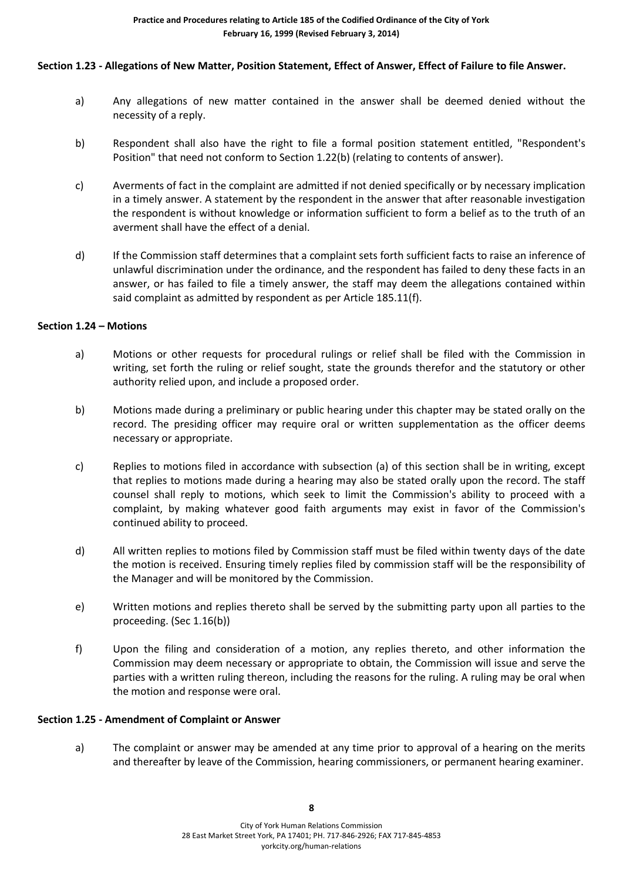# **Section 1.23 - Allegations of New Matter, Position Statement, Effect of Answer, Effect of Failure to file Answer.**

- a) Any allegations of new matter contained in the answer shall be deemed denied without the necessity of a reply.
- b) Respondent shall also have the right to file a formal position statement entitled, "Respondent's Position" that need not conform to Section 1.22(b) (relating to contents of answer).
- c) Averments of fact in the complaint are admitted if not denied specifically or by necessary implication in a timely answer. A statement by the respondent in the answer that after reasonable investigation the respondent is without knowledge or information sufficient to form a belief as to the truth of an averment shall have the effect of a denial.
- d) If the Commission staff determines that a complaint sets forth sufficient facts to raise an inference of unlawful discrimination under the ordinance, and the respondent has failed to deny these facts in an answer, or has failed to file a timely answer, the staff may deem the allegations contained within said complaint as admitted by respondent as per Article 185.11(f).

#### **Section 1.24 – Motions**

- a) Motions or other requests for procedural rulings or relief shall be filed with the Commission in writing, set forth the ruling or relief sought, state the grounds therefor and the statutory or other authority relied upon, and include a proposed order.
- b) Motions made during a preliminary or public hearing under this chapter may be stated orally on the record. The presiding officer may require oral or written supplementation as the officer deems necessary or appropriate.
- c) Replies to motions filed in accordance with subsection (a) of this section shall be in writing, except that replies to motions made during a hearing may also be stated orally upon the record. The staff counsel shall reply to motions, which seek to limit the Commission's ability to proceed with a complaint, by making whatever good faith arguments may exist in favor of the Commission's continued ability to proceed.
- d) All written replies to motions filed by Commission staff must be filed within twenty days of the date the motion is received. Ensuring timely replies filed by commission staff will be the responsibility of the Manager and will be monitored by the Commission.
- e) Written motions and replies thereto shall be served by the submitting party upon all parties to the proceeding. (Sec 1.16(b))
- f) Upon the filing and consideration of a motion, any replies thereto, and other information the Commission may deem necessary or appropriate to obtain, the Commission will issue and serve the parties with a written ruling thereon, including the reasons for the ruling. A ruling may be oral when the motion and response were oral.

#### **Section 1.25 - Amendment of Complaint or Answer**

a) The complaint or answer may be amended at any time prior to approval of a hearing on the merits and thereafter by leave of the Commission, hearing commissioners, or permanent hearing examiner.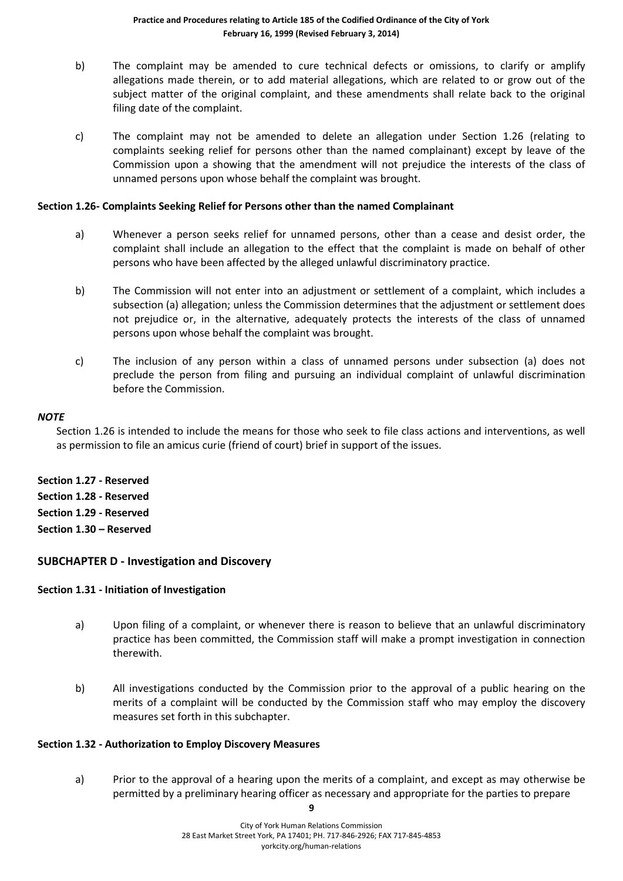- b) The complaint may be amended to cure technical defects or omissions, to clarify or amplify allegations made therein, or to add material allegations, which are related to or grow out of the subject matter of the original complaint, and these amendments shall relate back to the original filing date of the complaint.
- c) The complaint may not be amended to delete an allegation under Section 1.26 (relating to complaints seeking relief for persons other than the named complainant) except by leave of the Commission upon a showing that the amendment will not prejudice the interests of the class of unnamed persons upon whose behalf the complaint was brought.

#### **Section 1.26- Complaints Seeking Relief for Persons other than the named Complainant**

- a) Whenever a person seeks relief for unnamed persons, other than a cease and desist order, the complaint shall include an allegation to the effect that the complaint is made on behalf of other persons who have been affected by the alleged unlawful discriminatory practice.
- b) The Commission will not enter into an adjustment or settlement of a complaint, which includes a subsection (a) allegation; unless the Commission determines that the adjustment or settlement does not prejudice or, in the alternative, adequately protects the interests of the class of unnamed persons upon whose behalf the complaint was brought.
- c) The inclusion of any person within a class of unnamed persons under subsection (a) does not preclude the person from filing and pursuing an individual complaint of unlawful discrimination before the Commission.

#### *NOTE*

Section 1.26 is intended to include the means for those who seek to file class actions and interventions, as well as permission to file an amicus curie (friend of court) brief in support of the issues.

**Section 1.27 - Reserved Section 1.28 - Reserved Section 1.29 - Reserved Section 1.30 – Reserved**

# **SUBCHAPTER D - Investigation and Discovery**

#### **Section 1.31 - Initiation of Investigation**

- a) Upon filing of a complaint, or whenever there is reason to believe that an unlawful discriminatory practice has been committed, the Commission staff will make a prompt investigation in connection therewith.
- b) All investigations conducted by the Commission prior to the approval of a public hearing on the merits of a complaint will be conducted by the Commission staff who may employ the discovery measures set forth in this subchapter.

#### **Section 1.32 - Authorization to Employ Discovery Measures**

a) Prior to the approval of a hearing upon the merits of a complaint, and except as may otherwise be permitted by a preliminary hearing officer as necessary and appropriate for the parties to prepare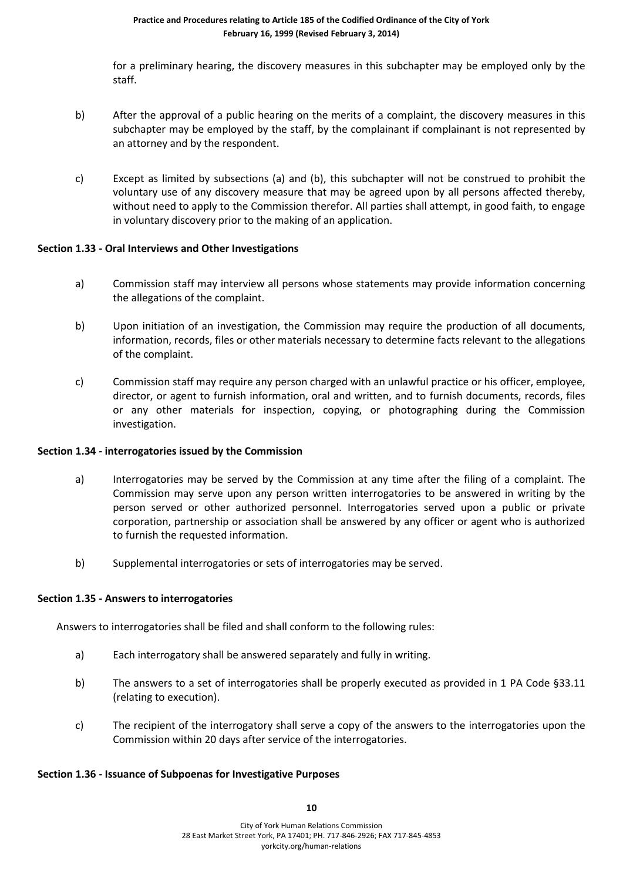for a preliminary hearing, the discovery measures in this subchapter may be employed only by the staff.

- b) After the approval of a public hearing on the merits of a complaint, the discovery measures in this subchapter may be employed by the staff, by the complainant if complainant is not represented by an attorney and by the respondent.
- c) Except as limited by subsections (a) and (b), this subchapter will not be construed to prohibit the voluntary use of any discovery measure that may be agreed upon by all persons affected thereby, without need to apply to the Commission therefor. All parties shall attempt, in good faith, to engage in voluntary discovery prior to the making of an application.

#### **Section 1.33 - Oral Interviews and Other Investigations**

- a) Commission staff may interview all persons whose statements may provide information concerning the allegations of the complaint.
- b) Upon initiation of an investigation, the Commission may require the production of all documents, information, records, files or other materials necessary to determine facts relevant to the allegations of the complaint.
- c) Commission staff may require any person charged with an unlawful practice or his officer, employee, director, or agent to furnish information, oral and written, and to furnish documents, records, files or any other materials for inspection, copying, or photographing during the Commission investigation.

#### **Section 1.34 - interrogatories issued by the Commission**

- a) Interrogatories may be served by the Commission at any time after the filing of a complaint. The Commission may serve upon any person written interrogatories to be answered in writing by the person served or other authorized personnel. Interrogatories served upon a public or private corporation, partnership or association shall be answered by any officer or agent who is authorized to furnish the requested information.
- b) Supplemental interrogatories or sets of interrogatories may be served.

#### **Section 1.35 - Answers to interrogatories**

Answers to interrogatories shall be filed and shall conform to the following rules:

- a) Each interrogatory shall be answered separately and fully in writing.
- b) The answers to a set of interrogatories shall be properly executed as provided in 1 PA Code §33.11 (relating to execution).
- c) The recipient of the interrogatory shall serve a copy of the answers to the interrogatories upon the Commission within 20 days after service of the interrogatories.

#### **Section 1.36 - Issuance of Subpoenas for Investigative Purposes**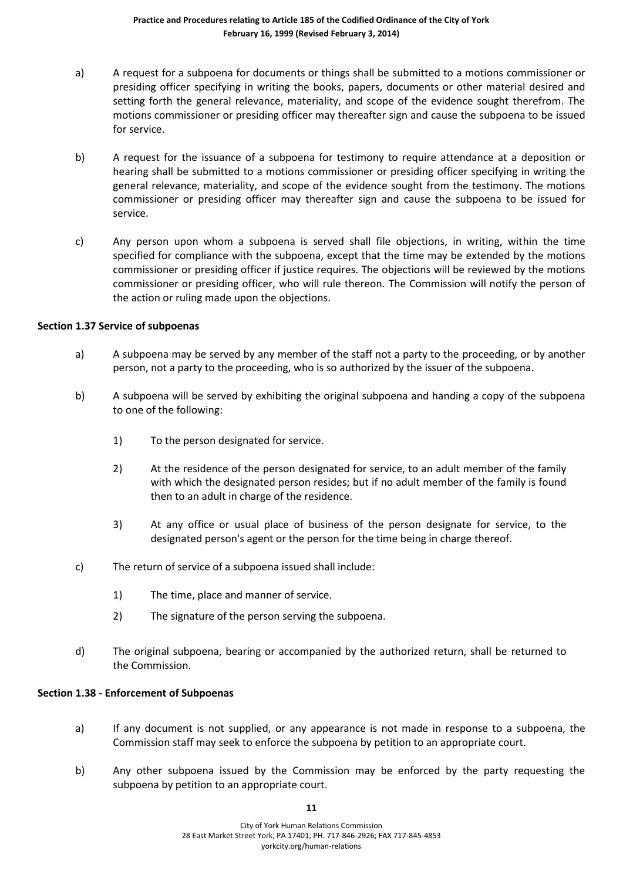- a) A request for a subpoena for documents or things shall be submitted to a motions commissioner or presiding officer specifying in writing the books, papers, documents or other material desired and setting forth the general relevance, materiality, and scope of the evidence sought therefrom. The motions commissioner or presiding officer may thereafter sign and cause the subpoena to be issued for service.
- b) A request for the issuance of a subpoena for testimony to require attendance at a deposition or hearing shall be submitted to a motions commissioner or presiding officer specifying in writing the general relevance, materiality, and scope of the evidence sought from the testimony. The motions commissioner or presiding officer may thereafter sign and cause the subpoena to be issued for service.
- c) Any person upon whom a subpoena is served shall file objections, in writing, within the time specified for compliance with the subpoena, except that the time may be extended by the motions commissioner or presiding officer if justice requires. The objections will be reviewed by the motions commissioner or presiding officer, who will rule thereon. The Commission will notify the person of the action or ruling made upon the objections.

#### **Section 1.37 Service of subpoenas**

- a) A subpoena may be served by any member of the staff not a party to the proceeding, or by another person, not a party to the proceeding, who is so authorized by the issuer of the subpoena.
- b) A subpoena will be served by exhibiting the original subpoena and handing a copy of the subpoena to one of the following:
	- 1) To the person designated for service.
	- 2) At the residence of the person designated for service, to an adult member of the family with which the designated person resides; but if no adult member of the family is found then to an adult in charge of the residence.
	- 3) At any office or usual place of business of the person designate for service, to the designated person's agent or the person for the time being in charge thereof.
- c) The return of service of a subpoena issued shall include:
	- 1) The time, place and manner of service.
	- 2) The signature of the person serving the subpoena.
- d) The original subpoena, bearing or accompanied by the authorized return, shall be returned to the Commission.

#### **Section 1.38 - Enforcement of Subpoenas**

- a) If any document is not supplied, or any appearance is not made in response to a subpoena, the Commission staff may seek to enforce the subpoena by petition to an appropriate court.
- b) Any other subpoena issued by the Commission may be enforced by the party requesting the subpoena by petition to an appropriate court.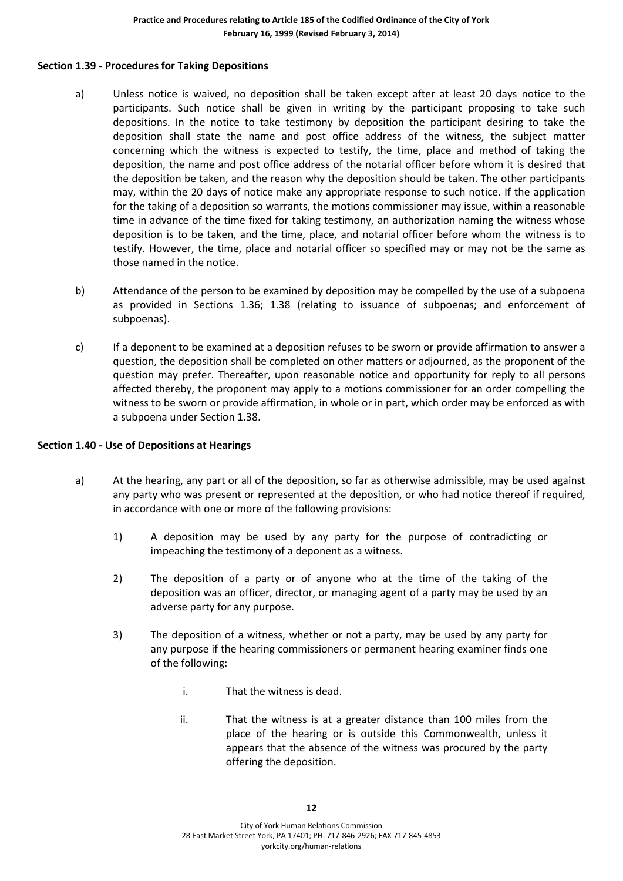#### **Section 1.39 - Procedures for Taking Depositions**

- a) Unless notice is waived, no deposition shall be taken except after at least 20 days notice to the participants. Such notice shall be given in writing by the participant proposing to take such depositions. In the notice to take testimony by deposition the participant desiring to take the deposition shall state the name and post office address of the witness, the subject matter concerning which the witness is expected to testify, the time, place and method of taking the deposition, the name and post office address of the notarial officer before whom it is desired that the deposition be taken, and the reason why the deposition should be taken. The other participants may, within the 20 days of notice make any appropriate response to such notice. If the application for the taking of a deposition so warrants, the motions commissioner may issue, within a reasonable time in advance of the time fixed for taking testimony, an authorization naming the witness whose deposition is to be taken, and the time, place, and notarial officer before whom the witness is to testify. However, the time, place and notarial officer so specified may or may not be the same as those named in the notice.
- b) Attendance of the person to be examined by deposition may be compelled by the use of a subpoena as provided in Sections 1.36; 1.38 (relating to issuance of subpoenas; and enforcement of subpoenas).
- c) If a deponent to be examined at a deposition refuses to be sworn or provide affirmation to answer a question, the deposition shall be completed on other matters or adjourned, as the proponent of the question may prefer. Thereafter, upon reasonable notice and opportunity for reply to all persons affected thereby, the proponent may apply to a motions commissioner for an order compelling the witness to be sworn or provide affirmation, in whole or in part, which order may be enforced as with a subpoena under Section 1.38.

#### **Section 1.40 - Use of Depositions at Hearings**

- a) At the hearing, any part or all of the deposition, so far as otherwise admissible, may be used against any party who was present or represented at the deposition, or who had notice thereof if required, in accordance with one or more of the following provisions:
	- 1) A deposition may be used by any party for the purpose of contradicting or impeaching the testimony of a deponent as a witness.
	- 2) The deposition of a party or of anyone who at the time of the taking of the deposition was an officer, director, or managing agent of a party may be used by an adverse party for any purpose.
	- 3) The deposition of a witness, whether or not a party, may be used by any party for any purpose if the hearing commissioners or permanent hearing examiner finds one of the following:
		- i. That the witness is dead.
		- ii. That the witness is at a greater distance than 100 miles from the place of the hearing or is outside this Commonwealth, unless it appears that the absence of the witness was procured by the party offering the deposition.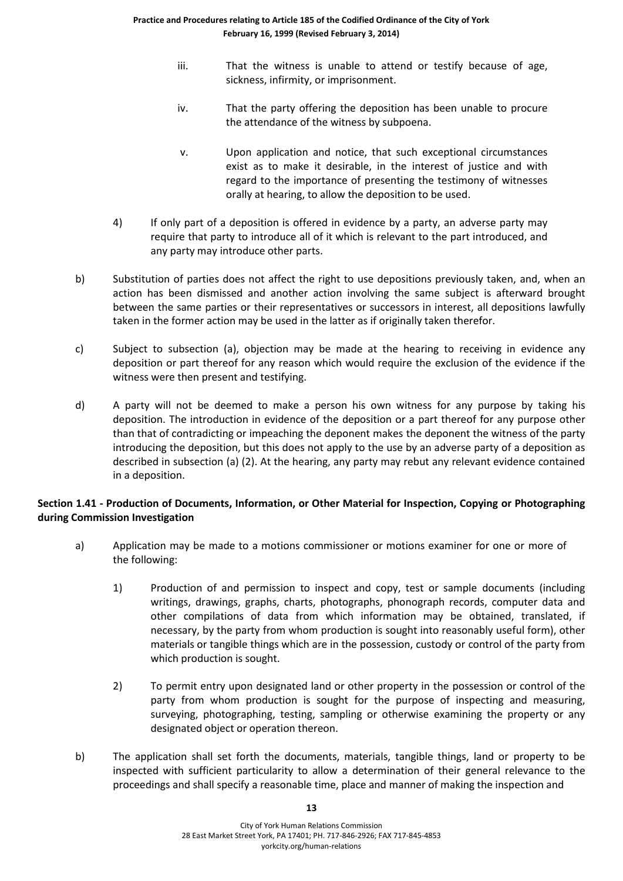- iii. That the witness is unable to attend or testify because of age, sickness, infirmity, or imprisonment.
- iv. That the party offering the deposition has been unable to procure the attendance of the witness by subpoena.
- v. Upon application and notice, that such exceptional circumstances exist as to make it desirable, in the interest of justice and with regard to the importance of presenting the testimony of witnesses orally at hearing, to allow the deposition to be used.
- 4) If only part of a deposition is offered in evidence by a party, an adverse party may require that party to introduce all of it which is relevant to the part introduced, and any party may introduce other parts.
- b) Substitution of parties does not affect the right to use depositions previously taken, and, when an action has been dismissed and another action involving the same subject is afterward brought between the same parties or their representatives or successors in interest, all depositions lawfully taken in the former action may be used in the latter as if originally taken therefor.
- c) Subject to subsection (a), objection may be made at the hearing to receiving in evidence any deposition or part thereof for any reason which would require the exclusion of the evidence if the witness were then present and testifying.
- d) A party will not be deemed to make a person his own witness for any purpose by taking his deposition. The introduction in evidence of the deposition or a part thereof for any purpose other than that of contradicting or impeaching the deponent makes the deponent the witness of the party introducing the deposition, but this does not apply to the use by an adverse party of a deposition as described in subsection (a) (2). At the hearing, any party may rebut any relevant evidence contained in a deposition.

# **Section 1.41 - Production of Documents, Information, or Other Material for Inspection, Copying or Photographing during Commission Investigation**

- a) Application may be made to a motions commissioner or motions examiner for one or more of the following:
	- 1) Production of and permission to inspect and copy, test or sample documents (including writings, drawings, graphs, charts, photographs, phonograph records, computer data and other compilations of data from which information may be obtained, translated, if necessary, by the party from whom production is sought into reasonably useful form), other materials or tangible things which are in the possession, custody or control of the party from which production is sought.
	- 2) To permit entry upon designated land or other property in the possession or control of the party from whom production is sought for the purpose of inspecting and measuring, surveying, photographing, testing, sampling or otherwise examining the property or any designated object or operation thereon.
- b) The application shall set forth the documents, materials, tangible things, land or property to be inspected with sufficient particularity to allow a determination of their general relevance to the proceedings and shall specify a reasonable time, place and manner of making the inspection and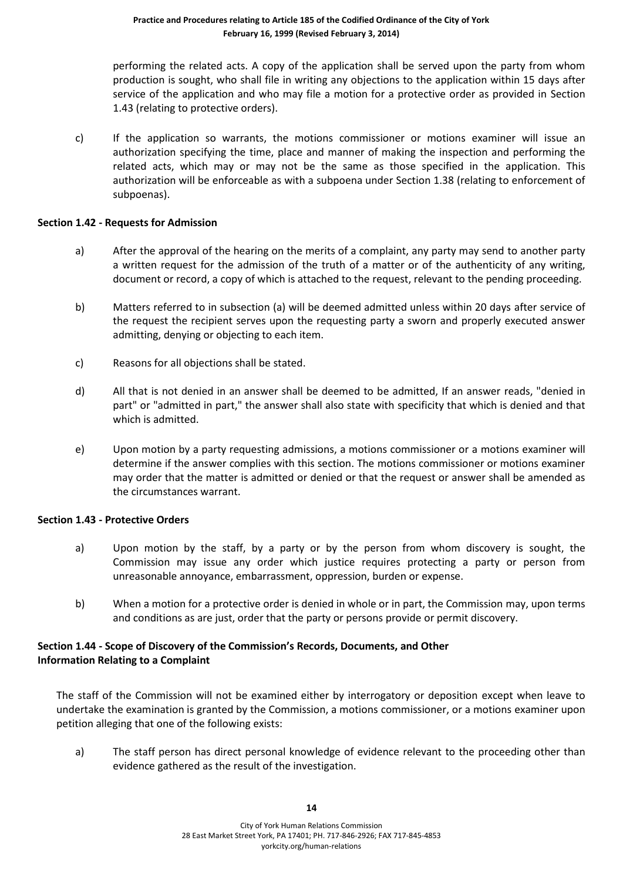performing the related acts. A copy of the application shall be served upon the party from whom production is sought, who shall file in writing any objections to the application within 15 days after service of the application and who may file a motion for a protective order as provided in Section 1.43 (relating to protective orders).

c) If the application so warrants, the motions commissioner or motions examiner will issue an authorization specifying the time, place and manner of making the inspection and performing the related acts, which may or may not be the same as those specified in the application. This authorization will be enforceable as with a subpoena under Section 1.38 (relating to enforcement of subpoenas).

#### **Section 1.42 - Requests for Admission**

- a) After the approval of the hearing on the merits of a complaint, any party may send to another party a written request for the admission of the truth of a matter or of the authenticity of any writing, document or record, a copy of which is attached to the request, relevant to the pending proceeding.
- b) Matters referred to in subsection (a) will be deemed admitted unless within 20 days after service of the request the recipient serves upon the requesting party a sworn and properly executed answer admitting, denying or objecting to each item.
- c) Reasons for all objections shall be stated.
- d) All that is not denied in an answer shall be deemed to be admitted, If an answer reads, "denied in part" or "admitted in part," the answer shall also state with specificity that which is denied and that which is admitted.
- e) Upon motion by a party requesting admissions, a motions commissioner or a motions examiner will determine if the answer complies with this section. The motions commissioner or motions examiner may order that the matter is admitted or denied or that the request or answer shall be amended as the circumstances warrant.

# **Section 1.43 - Protective Orders**

- a) Upon motion by the staff, by a party or by the person from whom discovery is sought, the Commission may issue any order which justice requires protecting a party or person from unreasonable annoyance, embarrassment, oppression, burden or expense.
- b) When a motion for a protective order is denied in whole or in part, the Commission may, upon terms and conditions as are just, order that the party or persons provide or permit discovery.

# **Section 1.44 - Scope of Discovery of the Commission's Records, Documents, and Other Information Relating to a Complaint**

The staff of the Commission will not be examined either by interrogatory or deposition except when leave to undertake the examination is granted by the Commission, a motions commissioner, or a motions examiner upon petition alleging that one of the following exists:

a) The staff person has direct personal knowledge of evidence relevant to the proceeding other than evidence gathered as the result of the investigation.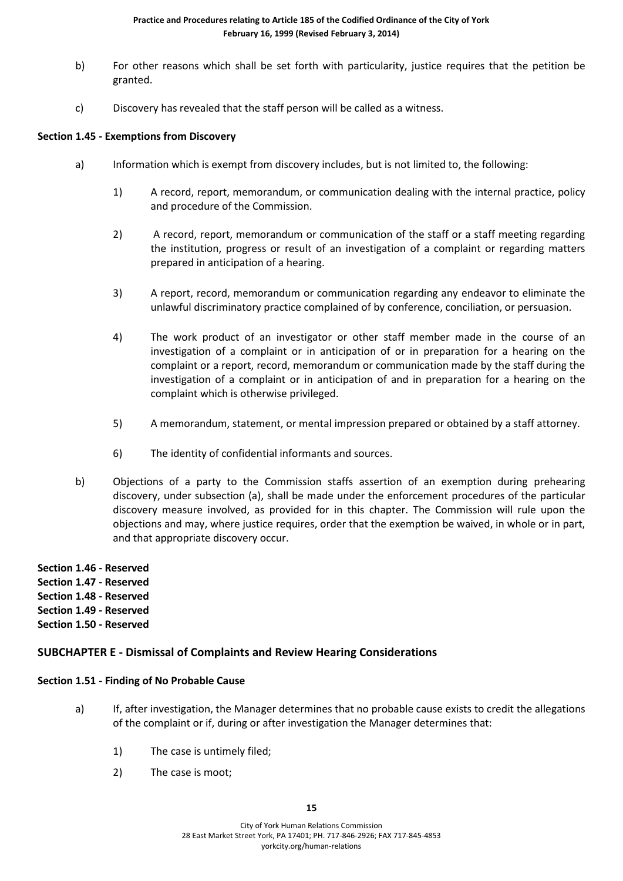- b) For other reasons which shall be set forth with particularity, justice requires that the petition be granted.
- c) Discovery has revealed that the staff person will be called as a witness.

#### **Section 1.45 - Exemptions from Discovery**

- a) Information which is exempt from discovery includes, but is not limited to, the following:
	- 1) A record, report, memorandum, or communication dealing with the internal practice, policy and procedure of the Commission.
	- 2) A record, report, memorandum or communication of the staff or a staff meeting regarding the institution, progress or result of an investigation of a complaint or regarding matters prepared in anticipation of a hearing.
	- 3) A report, record, memorandum or communication regarding any endeavor to eliminate the unlawful discriminatory practice complained of by conference, conciliation, or persuasion.
	- 4) The work product of an investigator or other staff member made in the course of an investigation of a complaint or in anticipation of or in preparation for a hearing on the complaint or a report, record, memorandum or communication made by the staff during the investigation of a complaint or in anticipation of and in preparation for a hearing on the complaint which is otherwise privileged.
	- 5) A memorandum, statement, or mental impression prepared or obtained by a staff attorney.
	- 6) The identity of confidential informants and sources.
- b) Objections of a party to the Commission staffs assertion of an exemption during prehearing discovery, under subsection (a), shall be made under the enforcement procedures of the particular discovery measure involved, as provided for in this chapter. The Commission will rule upon the objections and may, where justice requires, order that the exemption be waived, in whole or in part, and that appropriate discovery occur.
- **Section 1.46 - Reserved**
- **Section 1.47 - Reserved**
- **Section 1.48 - Reserved**
- **Section 1.49 - Reserved**
- **Section 1.50 - Reserved**

# **SUBCHAPTER E - Dismissal of Complaints and Review Hearing Considerations**

#### **Section 1.51 - Finding of No Probable Cause**

- a) If, after investigation, the Manager determines that no probable cause exists to credit the allegations of the complaint or if, during or after investigation the Manager determines that:
	- 1) The case is untimely filed;
	- 2) The case is moot;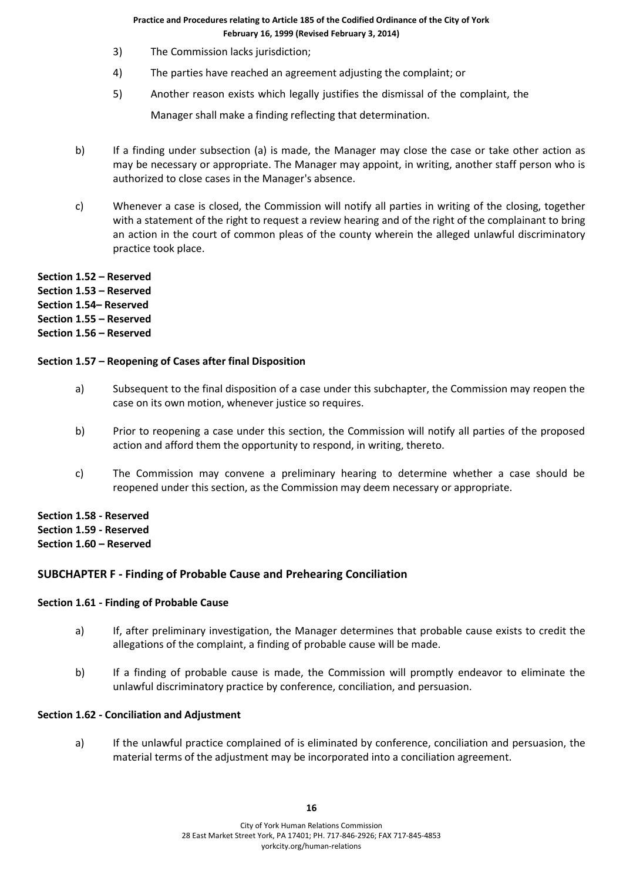- 3) The Commission lacks jurisdiction;
- 4) The parties have reached an agreement adjusting the complaint; or
- 5) Another reason exists which legally justifies the dismissal of the complaint, the

Manager shall make a finding reflecting that determination.

- b) If a finding under subsection (a) is made, the Manager may close the case or take other action as may be necessary or appropriate. The Manager may appoint, in writing, another staff person who is authorized to close cases in the Manager's absence.
- c) Whenever a case is closed, the Commission will notify all parties in writing of the closing, together with a statement of the right to request a review hearing and of the right of the complainant to bring an action in the court of common pleas of the county wherein the alleged unlawful discriminatory practice took place.

**Section 1.52 – Reserved Section 1.53 – Reserved**

**Section 1.54– Reserved**

**Section 1.55 – Reserved**

**Section 1.56 – Reserved**

#### **Section 1.57 – Reopening of Cases after final Disposition**

- a) Subsequent to the final disposition of a case under this subchapter, the Commission may reopen the case on its own motion, whenever justice so requires.
- b) Prior to reopening a case under this section, the Commission will notify all parties of the proposed action and afford them the opportunity to respond, in writing, thereto.
- c) The Commission may convene a preliminary hearing to determine whether a case should be reopened under this section, as the Commission may deem necessary or appropriate.

**Section 1.58 - Reserved Section 1.59 - Reserved Section 1.60 – Reserved**

# **SUBCHAPTER F - Finding of Probable Cause and Prehearing Conciliation**

#### **Section 1.61 - Finding of Probable Cause**

- a) If, after preliminary investigation, the Manager determines that probable cause exists to credit the allegations of the complaint, a finding of probable cause will be made.
- b) If a finding of probable cause is made, the Commission will promptly endeavor to eliminate the unlawful discriminatory practice by conference, conciliation, and persuasion.

#### **Section 1.62 - Conciliation and Adjustment**

a) If the unlawful practice complained of is eliminated by conference, conciliation and persuasion, the material terms of the adjustment may be incorporated into a conciliation agreement.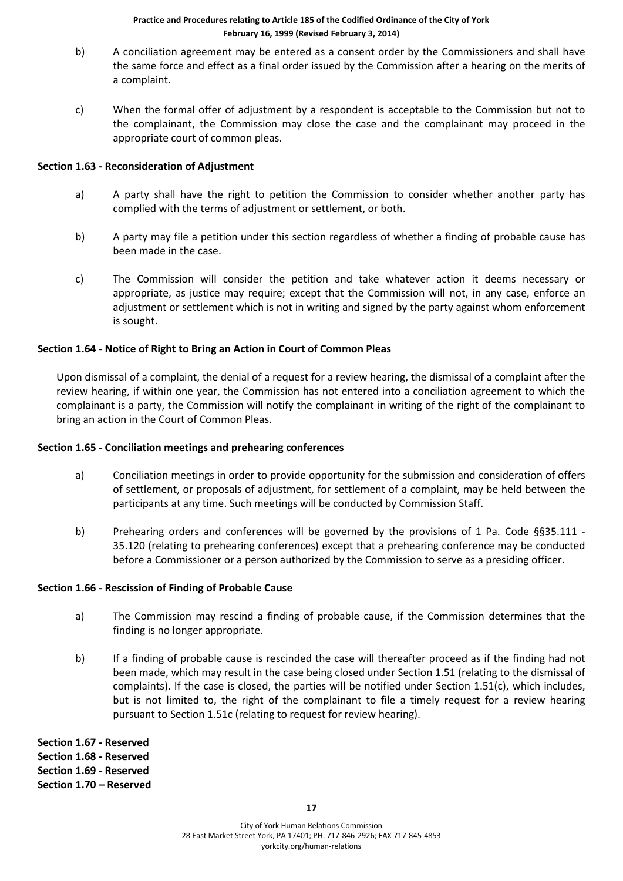- b) A conciliation agreement may be entered as a consent order by the Commissioners and shall have the same force and effect as a final order issued by the Commission after a hearing on the merits of a complaint.
- c) When the formal offer of adjustment by a respondent is acceptable to the Commission but not to the complainant, the Commission may close the case and the complainant may proceed in the appropriate court of common pleas.

#### **Section 1.63 - Reconsideration of Adjustment**

- a) A party shall have the right to petition the Commission to consider whether another party has complied with the terms of adjustment or settlement, or both.
- b) A party may file a petition under this section regardless of whether a finding of probable cause has been made in the case.
- c) The Commission will consider the petition and take whatever action it deems necessary or appropriate, as justice may require; except that the Commission will not, in any case, enforce an adjustment or settlement which is not in writing and signed by the party against whom enforcement is sought.

#### **Section 1.64 - Notice of Right to Bring an Action in Court of Common Pleas**

Upon dismissal of a complaint, the denial of a request for a review hearing, the dismissal of a complaint after the review hearing, if within one year, the Commission has not entered into a conciliation agreement to which the complainant is a party, the Commission will notify the complainant in writing of the right of the complainant to bring an action in the Court of Common Pleas.

#### **Section 1.65 - Conciliation meetings and prehearing conferences**

- a) Conciliation meetings in order to provide opportunity for the submission and consideration of offers of settlement, or proposals of adjustment, for settlement of a complaint, may be held between the participants at any time. Such meetings will be conducted by Commission Staff.
- b) Prehearing orders and conferences will be governed by the provisions of 1 Pa. Code §§35.111 35.120 (relating to prehearing conferences) except that a prehearing conference may be conducted before a Commissioner or a person authorized by the Commission to serve as a presiding officer.

#### **Section 1.66 - Rescission of Finding of Probable Cause**

- a) The Commission may rescind a finding of probable cause, if the Commission determines that the finding is no longer appropriate.
- b) If a finding of probable cause is rescinded the case will thereafter proceed as if the finding had not been made, which may result in the case being closed under Section 1.51 (relating to the dismissal of complaints). If the case is closed, the parties will be notified under Section 1.51(c), which includes, but is not limited to, the right of the complainant to file a timely request for a review hearing pursuant to Section 1.51c (relating to request for review hearing).

**Section 1.67 - Reserved Section 1.68 - Reserved Section 1.69 - Reserved Section 1.70 – Reserved**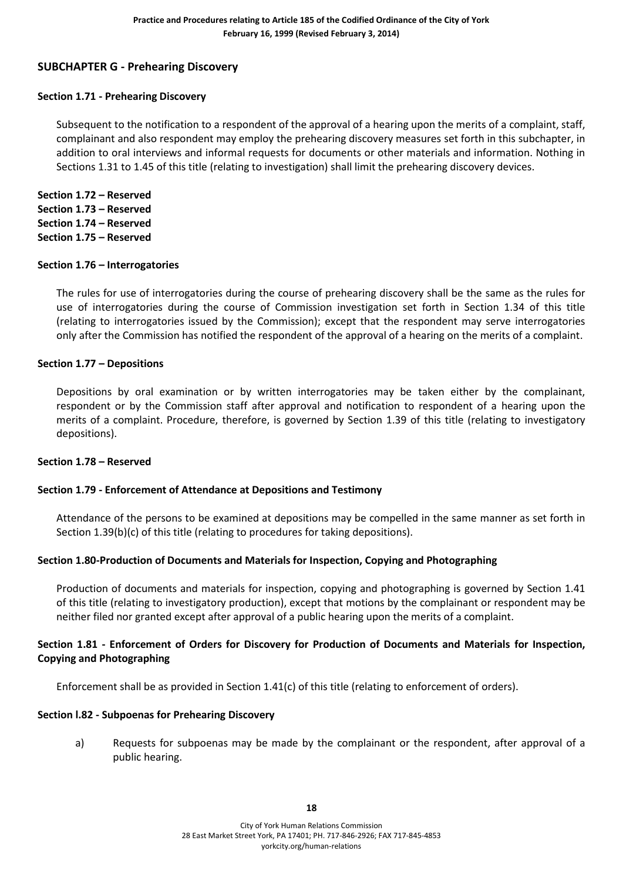# **SUBCHAPTER G - Prehearing Discovery**

#### **Section 1.71 - Prehearing Discovery**

Subsequent to the notification to a respondent of the approval of a hearing upon the merits of a complaint, staff, complainant and also respondent may employ the prehearing discovery measures set forth in this subchapter, in addition to oral interviews and informal requests for documents or other materials and information. Nothing in Sections 1.31 to 1.45 of this title (relating to investigation) shall limit the prehearing discovery devices.

**Section 1.72 – Reserved Section 1.73 – Reserved Section 1.74 – Reserved Section 1.75 – Reserved**

#### **Section 1.76 – Interrogatories**

The rules for use of interrogatories during the course of prehearing discovery shall be the same as the rules for use of interrogatories during the course of Commission investigation set forth in Section 1.34 of this title (relating to interrogatories issued by the Commission); except that the respondent may serve interrogatories only after the Commission has notified the respondent of the approval of a hearing on the merits of a complaint.

#### **Section 1.77 – Depositions**

Depositions by oral examination or by written interrogatories may be taken either by the complainant, respondent or by the Commission staff after approval and notification to respondent of a hearing upon the merits of a complaint. Procedure, therefore, is governed by Section 1.39 of this title (relating to investigatory depositions).

#### **Section 1.78 – Reserved**

#### **Section 1.79 - Enforcement of Attendance at Depositions and Testimony**

Attendance of the persons to be examined at depositions may be compelled in the same manner as set forth in Section 1.39(b)(c) of this title (relating to procedures for taking depositions).

#### **Section 1.80-Production of Documents and Materials for Inspection, Copying and Photographing**

Production of documents and materials for inspection, copying and photographing is governed by Section 1.41 of this title (relating to investigatory production), except that motions by the complainant or respondent may be neither filed nor granted except after approval of a public hearing upon the merits of a complaint.

#### **Section 1.81 - Enforcement of Orders for Discovery for Production of Documents and Materials for Inspection, Copying and Photographing**

Enforcement shall be as provided in Section 1.41(c) of this title (relating to enforcement of orders).

#### **Section l.82 - Subpoenas for Prehearing Discovery**

a) Requests for subpoenas may be made by the complainant or the respondent, after approval of a public hearing.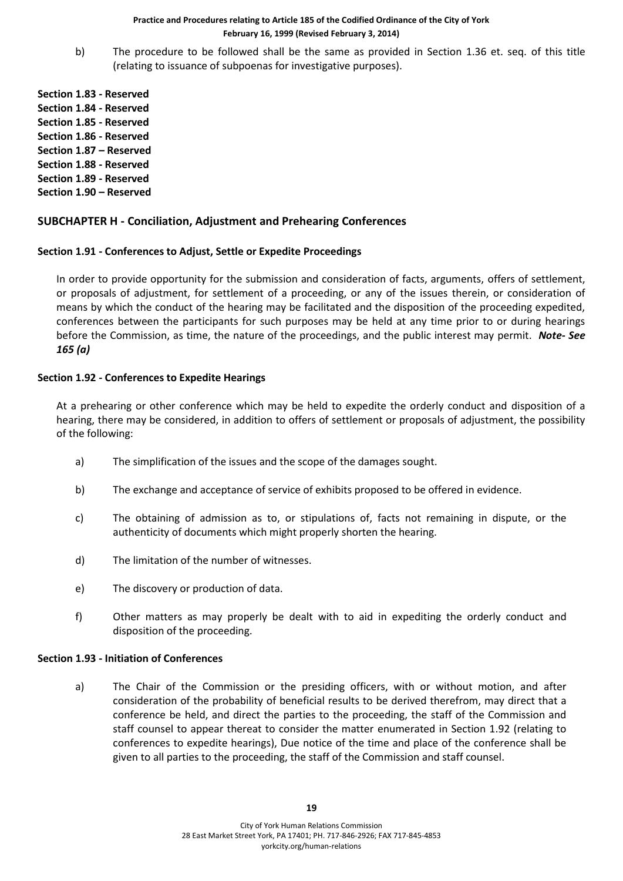b) The procedure to be followed shall be the same as provided in Section 1.36 et. seq. of this title (relating to issuance of subpoenas for investigative purposes).

**Section 1.83 - Reserved Section 1.84 - Reserved Section 1.85 - Reserved Section 1.86 - Reserved Section 1.87 – Reserved Section 1.88 - Reserved Section 1.89 - Reserved Section 1.90 – Reserved**

# **SUBCHAPTER H - Conciliation, Adjustment and Prehearing Conferences**

#### **Section 1.91 - Conferences to Adjust, Settle or Expedite Proceedings**

In order to provide opportunity for the submission and consideration of facts, arguments, offers of settlement, or proposals of adjustment, for settlement of a proceeding, or any of the issues therein, or consideration of means by which the conduct of the hearing may be facilitated and the disposition of the proceeding expedited, conferences between the participants for such purposes may be held at any time prior to or during hearings before the Commission, as time, the nature of the proceedings, and the public interest may permit. *Note- See 165 (a)*

#### **Section 1.92 - Conferences to Expedite Hearings**

At a prehearing or other conference which may be held to expedite the orderly conduct and disposition of a hearing, there may be considered, in addition to offers of settlement or proposals of adjustment, the possibility of the following:

- a) The simplification of the issues and the scope of the damages sought.
- b) The exchange and acceptance of service of exhibits proposed to be offered in evidence.
- c) The obtaining of admission as to, or stipulations of, facts not remaining in dispute, or the authenticity of documents which might properly shorten the hearing.
- d) The limitation of the number of witnesses.
- e) The discovery or production of data.
- f) Other matters as may properly be dealt with to aid in expediting the orderly conduct and disposition of the proceeding.

#### **Section 1.93 - Initiation of Conferences**

a) The Chair of the Commission or the presiding officers, with or without motion, and after consideration of the probability of beneficial results to be derived therefrom, may direct that a conference be held, and direct the parties to the proceeding, the staff of the Commission and staff counsel to appear thereat to consider the matter enumerated in Section 1.92 (relating to conferences to expedite hearings), Due notice of the time and place of the conference shall be given to all parties to the proceeding, the staff of the Commission and staff counsel.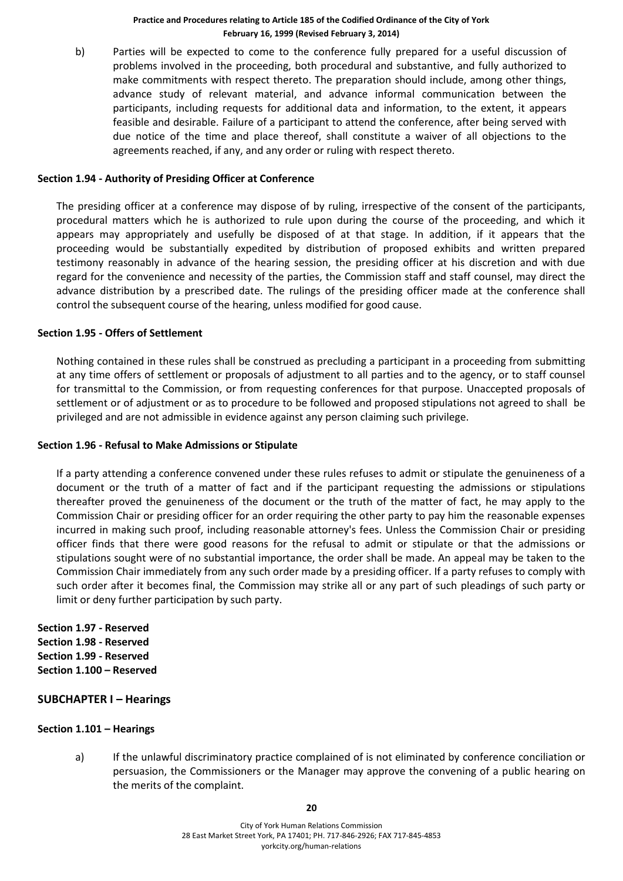b) Parties will be expected to come to the conference fully prepared for a useful discussion of problems involved in the proceeding, both procedural and substantive, and fully authorized to make commitments with respect thereto. The preparation should include, among other things, advance study of relevant material, and advance informal communication between the participants, including requests for additional data and information, to the extent, it appears feasible and desirable. Failure of a participant to attend the conference, after being served with due notice of the time and place thereof, shall constitute a waiver of all objections to the agreements reached, if any, and any order or ruling with respect thereto.

#### **Section 1.94 - Authority of Presiding Officer at Conference**

The presiding officer at a conference may dispose of by ruling, irrespective of the consent of the participants, procedural matters which he is authorized to rule upon during the course of the proceeding, and which it appears may appropriately and usefully be disposed of at that stage. In addition, if it appears that the proceeding would be substantially expedited by distribution of proposed exhibits and written prepared testimony reasonably in advance of the hearing session, the presiding officer at his discretion and with due regard for the convenience and necessity of the parties, the Commission staff and staff counsel, may direct the advance distribution by a prescribed date. The rulings of the presiding officer made at the conference shall control the subsequent course of the hearing, unless modified for good cause.

#### **Section 1.95 - Offers of Settlement**

Nothing contained in these rules shall be construed as precluding a participant in a proceeding from submitting at any time offers of settlement or proposals of adjustment to all parties and to the agency, or to staff counsel for transmittal to the Commission, or from requesting conferences for that purpose. Unaccepted proposals of settlement or of adjustment or as to procedure to be followed and proposed stipulations not agreed to shall be privileged and are not admissible in evidence against any person claiming such privilege.

#### **Section 1.96 - Refusal to Make Admissions or Stipulate**

If a party attending a conference convened under these rules refuses to admit or stipulate the genuineness of a document or the truth of a matter of fact and if the participant requesting the admissions or stipulations thereafter proved the genuineness of the document or the truth of the matter of fact, he may apply to the Commission Chair or presiding officer for an order requiring the other party to pay him the reasonable expenses incurred in making such proof, including reasonable attorney's fees. Unless the Commission Chair or presiding officer finds that there were good reasons for the refusal to admit or stipulate or that the admissions or stipulations sought were of no substantial importance, the order shall be made. An appeal may be taken to the Commission Chair immediately from any such order made by a presiding officer. If a party refuses to comply with such order after it becomes final, the Commission may strike all or any part of such pleadings of such party or limit or deny further participation by such party.

**Section 1.97 - Reserved Section 1.98 - Reserved Section 1.99 - Reserved Section 1.100 – Reserved**

#### **SUBCHAPTER I – Hearings**

#### **Section 1.101 – Hearings**

a) If the unlawful discriminatory practice complained of is not eliminated by conference conciliation or persuasion, the Commissioners or the Manager may approve the convening of a public hearing on the merits of the complaint.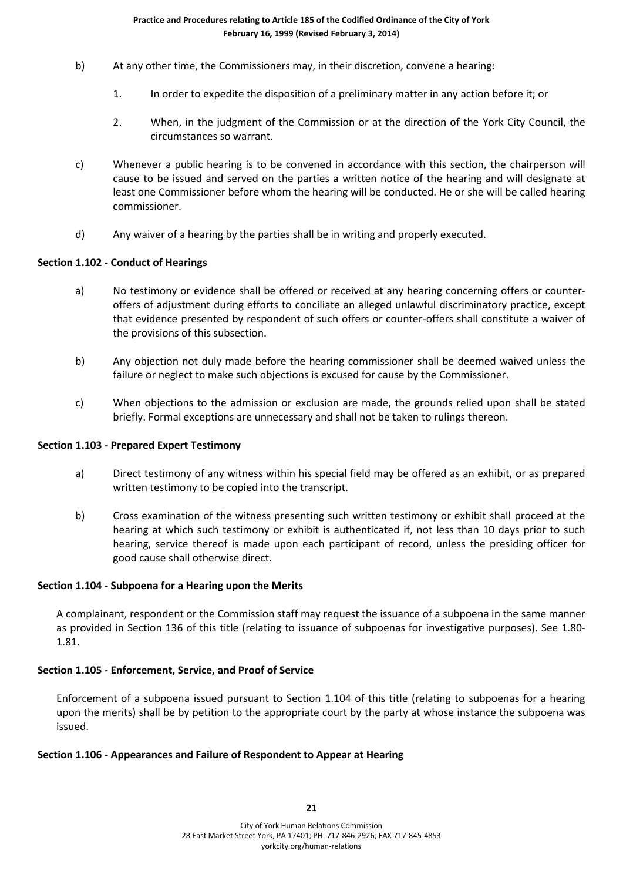- b) At any other time, the Commissioners may, in their discretion, convene a hearing:
	- 1. In order to expedite the disposition of a preliminary matter in any action before it; or
	- 2. When, in the judgment of the Commission or at the direction of the York City Council, the circumstances so warrant.
- c) Whenever a public hearing is to be convened in accordance with this section, the chairperson will cause to be issued and served on the parties a written notice of the hearing and will designate at least one Commissioner before whom the hearing will be conducted. He or she will be called hearing commissioner.
- d) Any waiver of a hearing by the parties shall be in writing and properly executed.

#### **Section 1.102 - Conduct of Hearings**

- a) No testimony or evidence shall be offered or received at any hearing concerning offers or counteroffers of adjustment during efforts to conciliate an alleged unlawful discriminatory practice, except that evidence presented by respondent of such offers or counter-offers shall constitute a waiver of the provisions of this subsection.
- b) Any objection not duly made before the hearing commissioner shall be deemed waived unless the failure or neglect to make such objections is excused for cause by the Commissioner.
- c) When objections to the admission or exclusion are made, the grounds relied upon shall be stated briefly. Formal exceptions are unnecessary and shall not be taken to rulings thereon.

#### **Section 1.103 - Prepared Expert Testimony**

- a) Direct testimony of any witness within his special field may be offered as an exhibit, or as prepared written testimony to be copied into the transcript.
- b) Cross examination of the witness presenting such written testimony or exhibit shall proceed at the hearing at which such testimony or exhibit is authenticated if, not less than 10 days prior to such hearing, service thereof is made upon each participant of record, unless the presiding officer for good cause shall otherwise direct.

#### **Section 1.104 - Subpoena for a Hearing upon the Merits**

A complainant, respondent or the Commission staff may request the issuance of a subpoena in the same manner as provided in Section 136 of this title (relating to issuance of subpoenas for investigative purposes). See 1.80- 1.81.

# **Section 1.105 - Enforcement, Service, and Proof of Service**

Enforcement of a subpoena issued pursuant to Section 1.104 of this title (relating to subpoenas for a hearing upon the merits) shall be by petition to the appropriate court by the party at whose instance the subpoena was issued.

#### **Section 1.106 - Appearances and Failure of Respondent to Appear at Hearing**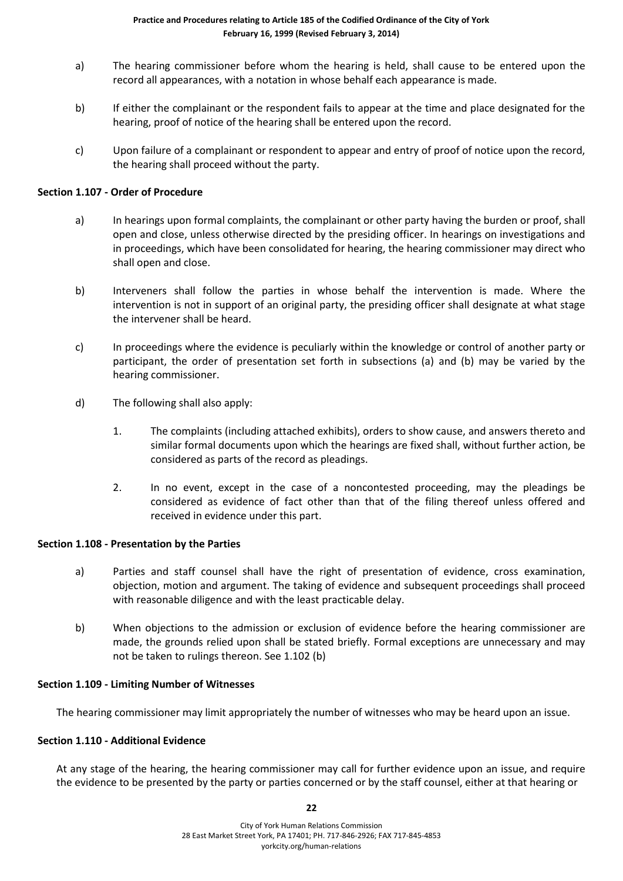- a) The hearing commissioner before whom the hearing is held, shall cause to be entered upon the record all appearances, with a notation in whose behalf each appearance is made.
- b) If either the complainant or the respondent fails to appear at the time and place designated for the hearing, proof of notice of the hearing shall be entered upon the record.
- c) Upon failure of a complainant or respondent to appear and entry of proof of notice upon the record, the hearing shall proceed without the party.

#### **Section 1.107 - Order of Procedure**

- a) In hearings upon formal complaints, the complainant or other party having the burden or proof, shall open and close, unless otherwise directed by the presiding officer. In hearings on investigations and in proceedings, which have been consolidated for hearing, the hearing commissioner may direct who shall open and close.
- b) Interveners shall follow the parties in whose behalf the intervention is made. Where the intervention is not in support of an original party, the presiding officer shall designate at what stage the intervener shall be heard.
- c) In proceedings where the evidence is peculiarly within the knowledge or control of another party or participant, the order of presentation set forth in subsections (a) and (b) may be varied by the hearing commissioner.
- d) The following shall also apply:
	- 1. The complaints (including attached exhibits), orders to show cause, and answers thereto and similar formal documents upon which the hearings are fixed shall, without further action, be considered as parts of the record as pleadings.
	- 2. In no event, except in the case of a noncontested proceeding, may the pleadings be considered as evidence of fact other than that of the filing thereof unless offered and received in evidence under this part.

#### **Section 1.108 - Presentation by the Parties**

- a) Parties and staff counsel shall have the right of presentation of evidence, cross examination, objection, motion and argument. The taking of evidence and subsequent proceedings shall proceed with reasonable diligence and with the least practicable delay.
- b) When objections to the admission or exclusion of evidence before the hearing commissioner are made, the grounds relied upon shall be stated briefly. Formal exceptions are unnecessary and may not be taken to rulings thereon. See 1.102 (b)

#### **Section 1.109 - Limiting Number of Witnesses**

The hearing commissioner may limit appropriately the number of witnesses who may be heard upon an issue.

#### **Section 1.110 - Additional Evidence**

At any stage of the hearing, the hearing commissioner may call for further evidence upon an issue, and require the evidence to be presented by the party or parties concerned or by the staff counsel, either at that hearing or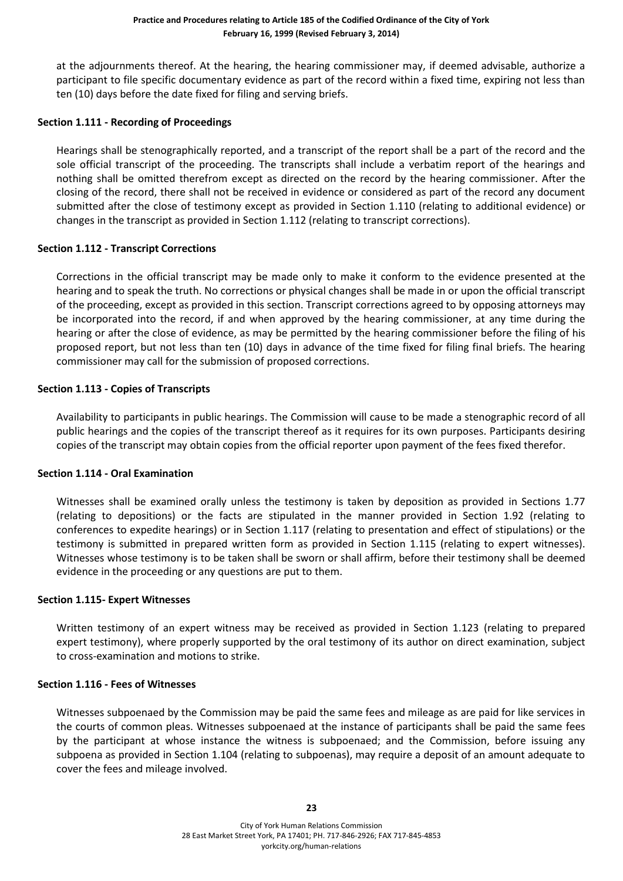at the adjournments thereof. At the hearing, the hearing commissioner may, if deemed advisable, authorize a participant to file specific documentary evidence as part of the record within a fixed time, expiring not less than ten (10) days before the date fixed for filing and serving briefs.

#### **Section 1.111 - Recording of Proceedings**

Hearings shall be stenographically reported, and a transcript of the report shall be a part of the record and the sole official transcript of the proceeding. The transcripts shall include a verbatim report of the hearings and nothing shall be omitted therefrom except as directed on the record by the hearing commissioner. After the closing of the record, there shall not be received in evidence or considered as part of the record any document submitted after the close of testimony except as provided in Section 1.110 (relating to additional evidence) or changes in the transcript as provided in Section 1.112 (relating to transcript corrections).

#### **Section 1.112 - Transcript Corrections**

Corrections in the official transcript may be made only to make it conform to the evidence presented at the hearing and to speak the truth. No corrections or physical changes shall be made in or upon the official transcript of the proceeding, except as provided in this section. Transcript corrections agreed to by opposing attorneys may be incorporated into the record, if and when approved by the hearing commissioner, at any time during the hearing or after the close of evidence, as may be permitted by the hearing commissioner before the filing of his proposed report, but not less than ten (10) days in advance of the time fixed for filing final briefs. The hearing commissioner may call for the submission of proposed corrections.

#### **Section 1.113 - Copies of Transcripts**

Availability to participants in public hearings. The Commission will cause to be made a stenographic record of all public hearings and the copies of the transcript thereof as it requires for its own purposes. Participants desiring copies of the transcript may obtain copies from the official reporter upon payment of the fees fixed therefor.

#### **Section 1.114 - Oral Examination**

Witnesses shall be examined orally unless the testimony is taken by deposition as provided in Sections 1.77 (relating to depositions) or the facts are stipulated in the manner provided in Section 1.92 (relating to conferences to expedite hearings) or in Section 1.117 (relating to presentation and effect of stipulations) or the testimony is submitted in prepared written form as provided in Section 1.115 (relating to expert witnesses). Witnesses whose testimony is to be taken shall be sworn or shall affirm, before their testimony shall be deemed evidence in the proceeding or any questions are put to them.

#### **Section 1.115- Expert Witnesses**

Written testimony of an expert witness may be received as provided in Section 1.123 (relating to prepared expert testimony), where properly supported by the oral testimony of its author on direct examination, subject to cross-examination and motions to strike.

#### **Section 1.116 - Fees of Witnesses**

Witnesses subpoenaed by the Commission may be paid the same fees and mileage as are paid for like services in the courts of common pleas. Witnesses subpoenaed at the instance of participants shall be paid the same fees by the participant at whose instance the witness is subpoenaed; and the Commission, before issuing any subpoena as provided in Section 1.104 (relating to subpoenas), may require a deposit of an amount adequate to cover the fees and mileage involved.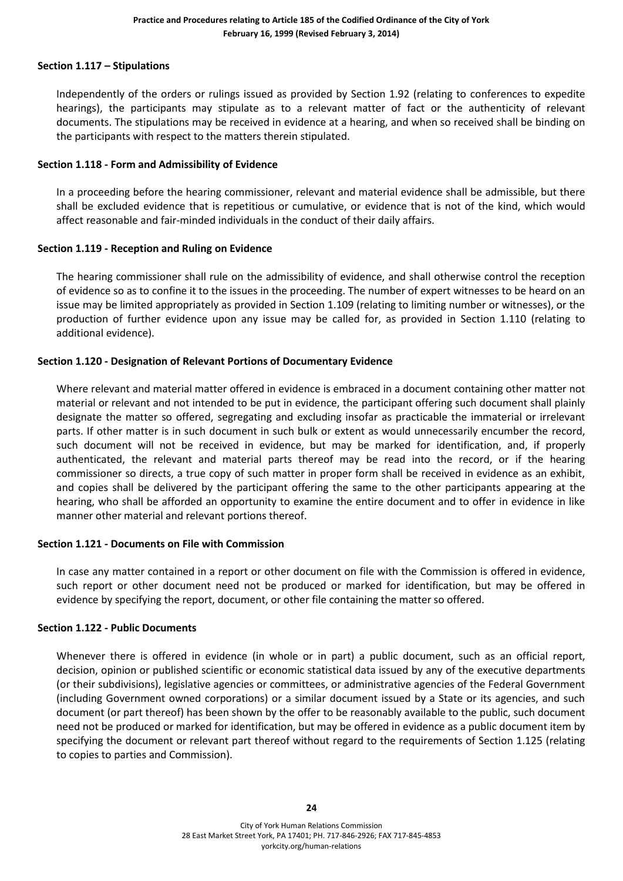#### **Section 1.117 – Stipulations**

Independently of the orders or rulings issued as provided by Section 1.92 (relating to conferences to expedite hearings), the participants may stipulate as to a relevant matter of fact or the authenticity of relevant documents. The stipulations may be received in evidence at a hearing, and when so received shall be binding on the participants with respect to the matters therein stipulated.

#### **Section 1.118 - Form and Admissibility of Evidence**

In a proceeding before the hearing commissioner, relevant and material evidence shall be admissible, but there shall be excluded evidence that is repetitious or cumulative, or evidence that is not of the kind, which would affect reasonable and fair-minded individuals in the conduct of their daily affairs.

#### **Section 1.119 - Reception and Ruling on Evidence**

The hearing commissioner shall rule on the admissibility of evidence, and shall otherwise control the reception of evidence so as to confine it to the issues in the proceeding. The number of expert witnesses to be heard on an issue may be limited appropriately as provided in Section 1.109 (relating to limiting number or witnesses), or the production of further evidence upon any issue may be called for, as provided in Section 1.110 (relating to additional evidence).

#### **Section 1.120 - Designation of Relevant Portions of Documentary Evidence**

Where relevant and material matter offered in evidence is embraced in a document containing other matter not material or relevant and not intended to be put in evidence, the participant offering such document shall plainly designate the matter so offered, segregating and excluding insofar as practicable the immaterial or irrelevant parts. If other matter is in such document in such bulk or extent as would unnecessarily encumber the record, such document will not be received in evidence, but may be marked for identification, and, if properly authenticated, the relevant and material parts thereof may be read into the record, or if the hearing commissioner so directs, a true copy of such matter in proper form shall be received in evidence as an exhibit, and copies shall be delivered by the participant offering the same to the other participants appearing at the hearing, who shall be afforded an opportunity to examine the entire document and to offer in evidence in like manner other material and relevant portions thereof.

#### **Section 1.121 - Documents on File with Commission**

In case any matter contained in a report or other document on file with the Commission is offered in evidence, such report or other document need not be produced or marked for identification, but may be offered in evidence by specifying the report, document, or other file containing the matter so offered.

#### **Section 1.122 - Public Documents**

Whenever there is offered in evidence (in whole or in part) a public document, such as an official report, decision, opinion or published scientific or economic statistical data issued by any of the executive departments (or their subdivisions), legislative agencies or committees, or administrative agencies of the Federal Government (including Government owned corporations) or a similar document issued by a State or its agencies, and such document (or part thereof) has been shown by the offer to be reasonably available to the public, such document need not be produced or marked for identification, but may be offered in evidence as a public document item by specifying the document or relevant part thereof without regard to the requirements of Section 1.125 (relating to copies to parties and Commission).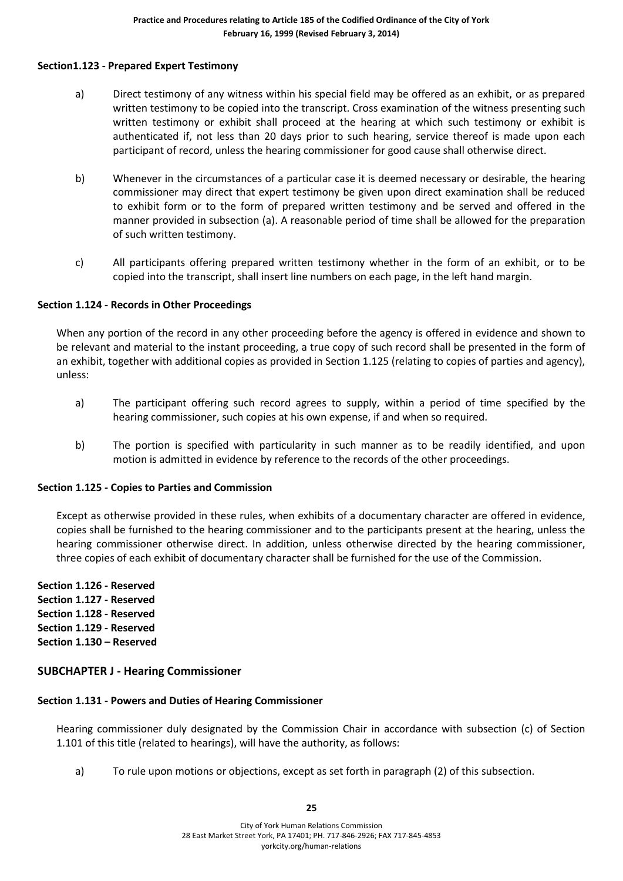#### **Section1.123 - Prepared Expert Testimony**

- a) Direct testimony of any witness within his special field may be offered as an exhibit, or as prepared written testimony to be copied into the transcript. Cross examination of the witness presenting such written testimony or exhibit shall proceed at the hearing at which such testimony or exhibit is authenticated if, not less than 20 days prior to such hearing, service thereof is made upon each participant of record, unless the hearing commissioner for good cause shall otherwise direct.
- b) Whenever in the circumstances of a particular case it is deemed necessary or desirable, the hearing commissioner may direct that expert testimony be given upon direct examination shall be reduced to exhibit form or to the form of prepared written testimony and be served and offered in the manner provided in subsection (a). A reasonable period of time shall be allowed for the preparation of such written testimony.
- c) All participants offering prepared written testimony whether in the form of an exhibit, or to be copied into the transcript, shall insert line numbers on each page, in the left hand margin.

#### **Section 1.124 - Records in Other Proceedings**

When any portion of the record in any other proceeding before the agency is offered in evidence and shown to be relevant and material to the instant proceeding, a true copy of such record shall be presented in the form of an exhibit, together with additional copies as provided in Section 1.125 (relating to copies of parties and agency), unless:

- a) The participant offering such record agrees to supply, within a period of time specified by the hearing commissioner, such copies at his own expense, if and when so required.
- b) The portion is specified with particularity in such manner as to be readily identified, and upon motion is admitted in evidence by reference to the records of the other proceedings.

#### **Section 1.125 - Copies to Parties and Commission**

Except as otherwise provided in these rules, when exhibits of a documentary character are offered in evidence, copies shall be furnished to the hearing commissioner and to the participants present at the hearing, unless the hearing commissioner otherwise direct. In addition, unless otherwise directed by the hearing commissioner, three copies of each exhibit of documentary character shall be furnished for the use of the Commission.

**Section 1.126 - Reserved Section 1.127 - Reserved Section 1.128 - Reserved Section 1.129 - Reserved Section 1.130 – Reserved**

# **SUBCHAPTER J - Hearing Commissioner**

# **Section 1.131 - Powers and Duties of Hearing Commissioner**

Hearing commissioner duly designated by the Commission Chair in accordance with subsection (c) of Section 1.101 of this title (related to hearings), will have the authority, as follows:

a) To rule upon motions or objections, except as set forth in paragraph (2) of this subsection.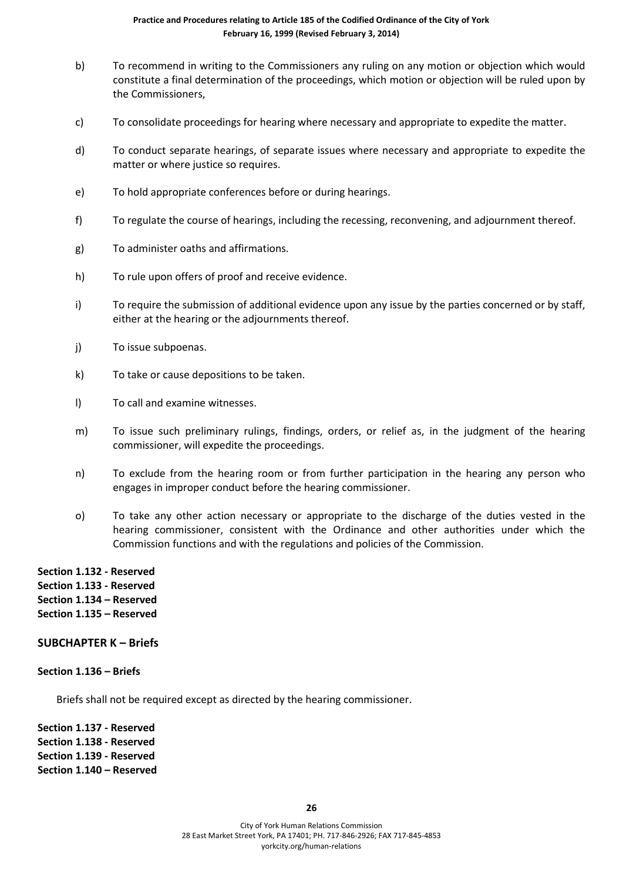- b) To recommend in writing to the Commissioners any ruling on any motion or objection which would constitute a final determination of the proceedings, which motion or objection will be ruled upon by the Commissioners,
- c) To consolidate proceedings for hearing where necessary and appropriate to expedite the matter.
- d) To conduct separate hearings, of separate issues where necessary and appropriate to expedite the matter or where justice so requires.
- e) To hold appropriate conferences before or during hearings.
- f) To regulate the course of hearings, including the recessing, reconvening, and adjournment thereof.
- g) To administer oaths and affirmations.
- h) To rule upon offers of proof and receive evidence.
- i) To require the submission of additional evidence upon any issue by the parties concerned or by staff, either at the hearing or the adjournments thereof.
- j) To issue subpoenas.
- k) To take or cause depositions to be taken.
- l) To call and examine witnesses.
- m) To issue such preliminary rulings, findings, orders, or relief as, in the judgment of the hearing commissioner, will expedite the proceedings.
- n) To exclude from the hearing room or from further participation in the hearing any person who engages in improper conduct before the hearing commissioner.
- o) To take any other action necessary or appropriate to the discharge of the duties vested in the hearing commissioner, consistent with the Ordinance and other authorities under which the Commission functions and with the regulations and policies of the Commission.
- **Section 1.132 - Reserved Section 1.133 - Reserved Section 1.134 – Reserved Section 1.135 – Reserved**

#### **SUBCHAPTER K – Briefs**

#### **Section 1.136 – Briefs**

Briefs shall not be required except as directed by the hearing commissioner.

**Section 1.137 - Reserved Section 1.138 - Reserved Section 1.139 - Reserved Section 1.140 – Reserved**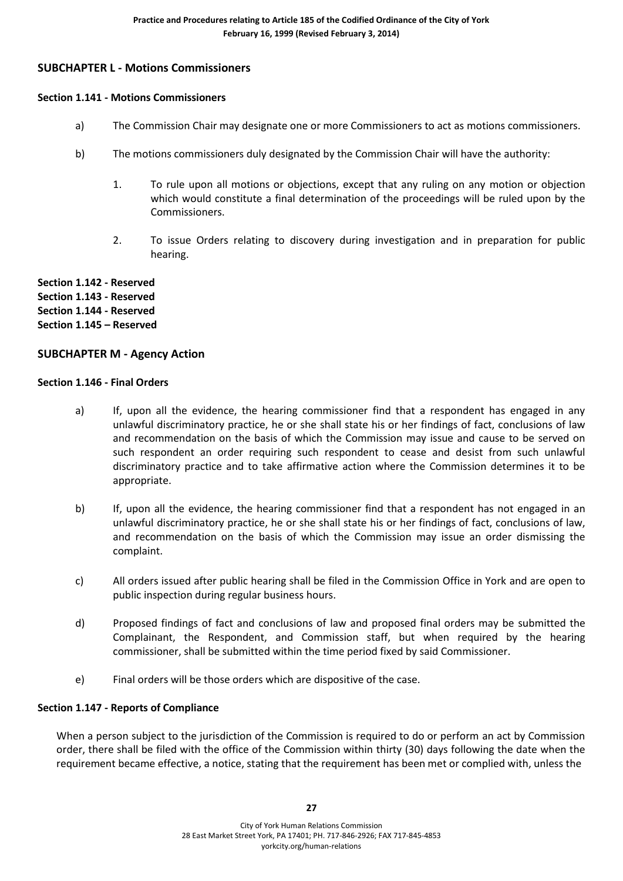# **SUBCHAPTER L - Motions Commissioners**

#### **Section 1.141 - Motions Commissioners**

- a) The Commission Chair may designate one or more Commissioners to act as motions commissioners.
- b) The motions commissioners duly designated by the Commission Chair will have the authority:
	- 1. To rule upon all motions or objections, except that any ruling on any motion or objection which would constitute a final determination of the proceedings will be ruled upon by the Commissioners.
	- 2. To issue Orders relating to discovery during investigation and in preparation for public hearing.

**Section 1.142 - Reserved Section 1.143 - Reserved Section 1.144 - Reserved Section 1.145 – Reserved**

# **SUBCHAPTER M - Agency Action**

#### **Section 1.146 - Final Orders**

- a) If, upon all the evidence, the hearing commissioner find that a respondent has engaged in any unlawful discriminatory practice, he or she shall state his or her findings of fact, conclusions of law and recommendation on the basis of which the Commission may issue and cause to be served on such respondent an order requiring such respondent to cease and desist from such unlawful discriminatory practice and to take affirmative action where the Commission determines it to be appropriate.
- b) If, upon all the evidence, the hearing commissioner find that a respondent has not engaged in an unlawful discriminatory practice, he or she shall state his or her findings of fact, conclusions of law, and recommendation on the basis of which the Commission may issue an order dismissing the complaint.
- c) All orders issued after public hearing shall be filed in the Commission Office in York and are open to public inspection during regular business hours.
- d) Proposed findings of fact and conclusions of law and proposed final orders may be submitted the Complainant, the Respondent, and Commission staff, but when required by the hearing commissioner, shall be submitted within the time period fixed by said Commissioner.
- e) Final orders will be those orders which are dispositive of the case.

#### **Section 1.147 - Reports of Compliance**

When a person subject to the jurisdiction of the Commission is required to do or perform an act by Commission order, there shall be filed with the office of the Commission within thirty (30) days following the date when the requirement became effective, a notice, stating that the requirement has been met or complied with, unless the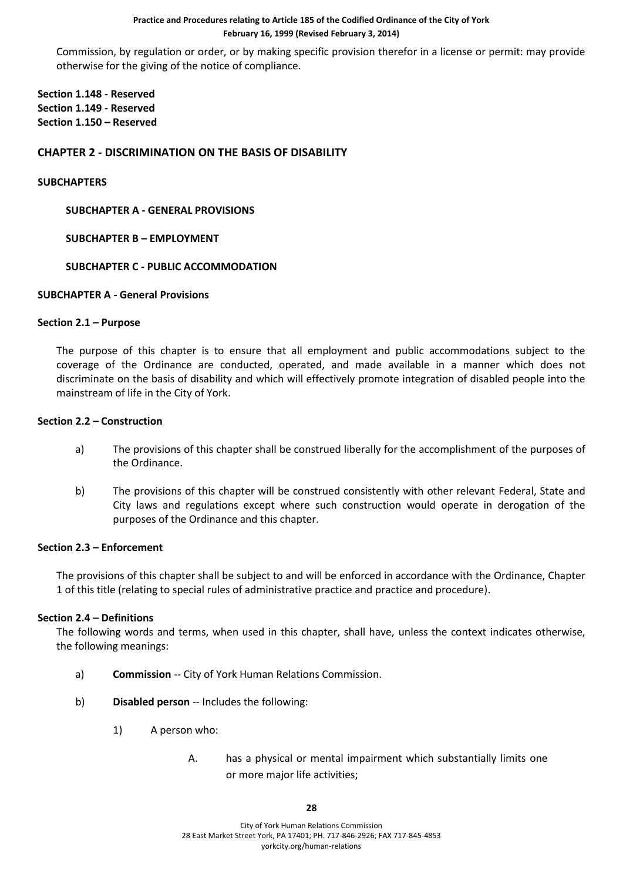Commission, by regulation or order, or by making specific provision therefor in a license or permit: may provide otherwise for the giving of the notice of compliance.

**Section 1.148 - Reserved Section 1.149 - Reserved Section 1.150 – Reserved**

### **CHAPTER 2 - DISCRIMINATION ON THE BASIS OF DISABILITY**

#### **SUBCHAPTERS**

**SUBCHAPTER A - GENERAL PROVISIONS**

#### **SUBCHAPTER B – EMPLOYMENT**

#### **SUBCHAPTER C - PUBLIC ACCOMMODATION**

#### **SUBCHAPTER A - General Provisions**

#### **Section 2.1 – Purpose**

The purpose of this chapter is to ensure that all employment and public accommodations subject to the coverage of the Ordinance are conducted, operated, and made available in a manner which does not discriminate on the basis of disability and which will effectively promote integration of disabled people into the mainstream of life in the City of York.

#### **Section 2.2 – Construction**

- a) The provisions of this chapter shall be construed liberally for the accomplishment of the purposes of the Ordinance.
- b) The provisions of this chapter will be construed consistently with other relevant Federal, State and City laws and regulations except where such construction would operate in derogation of the purposes of the Ordinance and this chapter.

#### **Section 2.3 – Enforcement**

The provisions of this chapter shall be subject to and will be enforced in accordance with the Ordinance, Chapter 1 of this title (relating to special rules of administrative practice and practice and procedure).

#### **Section 2.4 – Definitions**

The following words and terms, when used in this chapter, shall have, unless the context indicates otherwise, the following meanings:

- a) **Commission** -- City of York Human Relations Commission.
- b) **Disabled person** -- Includes the following:
	- 1) A person who:
		- A. has a physical or mental impairment which substantially limits one or more major life activities;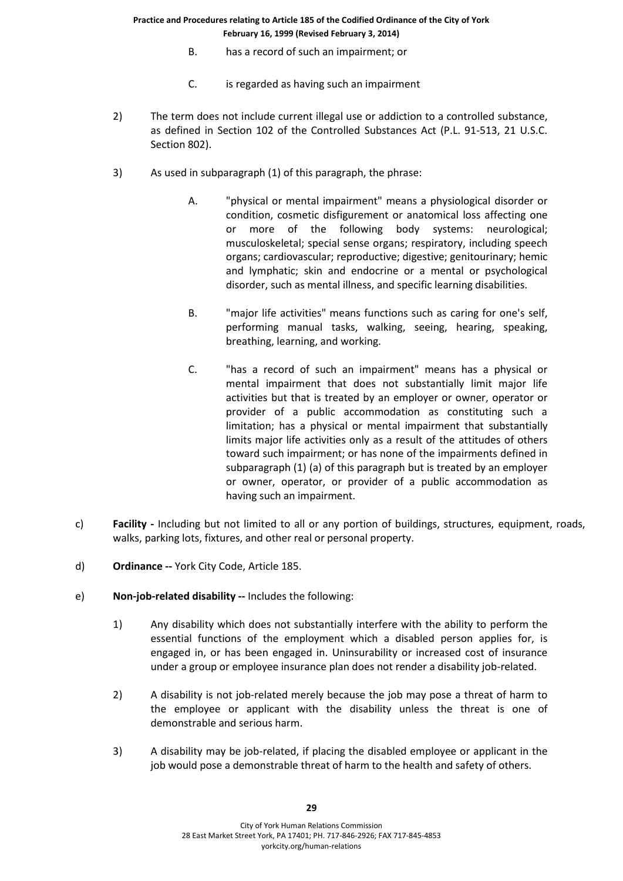- B. has a record of such an impairment; or
- C. is regarded as having such an impairment
- 2) The term does not include current illegal use or addiction to a controlled substance, as defined in Section 102 of the Controlled Substances Act (P.L. 91-513, 21 U.S.C. Section 802).
- 3) As used in subparagraph (1) of this paragraph, the phrase:
	- A. "physical or mental impairment" means a physiological disorder or condition, cosmetic disfigurement or anatomical loss affecting one or more of the following body systems: neurological; musculoskeletal; special sense organs; respiratory, including speech organs; cardiovascular; reproductive; digestive; genitourinary; hemic and lymphatic; skin and endocrine or a mental or psychological disorder, such as mental illness, and specific learning disabilities.
	- B. "major life activities" means functions such as caring for one's self, performing manual tasks, walking, seeing, hearing, speaking, breathing, learning, and working.
	- C. "has a record of such an impairment" means has a physical or mental impairment that does not substantially limit major life activities but that is treated by an employer or owner, operator or provider of a public accommodation as constituting such a limitation; has a physical or mental impairment that substantially limits major life activities only as a result of the attitudes of others toward such impairment; or has none of the impairments defined in subparagraph (1) (a) of this paragraph but is treated by an employer or owner, operator, or provider of a public accommodation as having such an impairment.
- c) **Facility -** Including but not limited to all or any portion of buildings, structures, equipment, roads, walks, parking lots, fixtures, and other real or personal property.
- d) **Ordinance --** York City Code, Article 185.
- e) **Non-job-related disability --** Includes the following:
	- 1) Any disability which does not substantially interfere with the ability to perform the essential functions of the employment which a disabled person applies for, is engaged in, or has been engaged in. Uninsurability or increased cost of insurance under a group or employee insurance plan does not render a disability job-related.
	- 2) A disability is not job-related merely because the job may pose a threat of harm to the employee or applicant with the disability unless the threat is one of demonstrable and serious harm.
	- 3) A disability may be job-related, if placing the disabled employee or applicant in the job would pose a demonstrable threat of harm to the health and safety of others.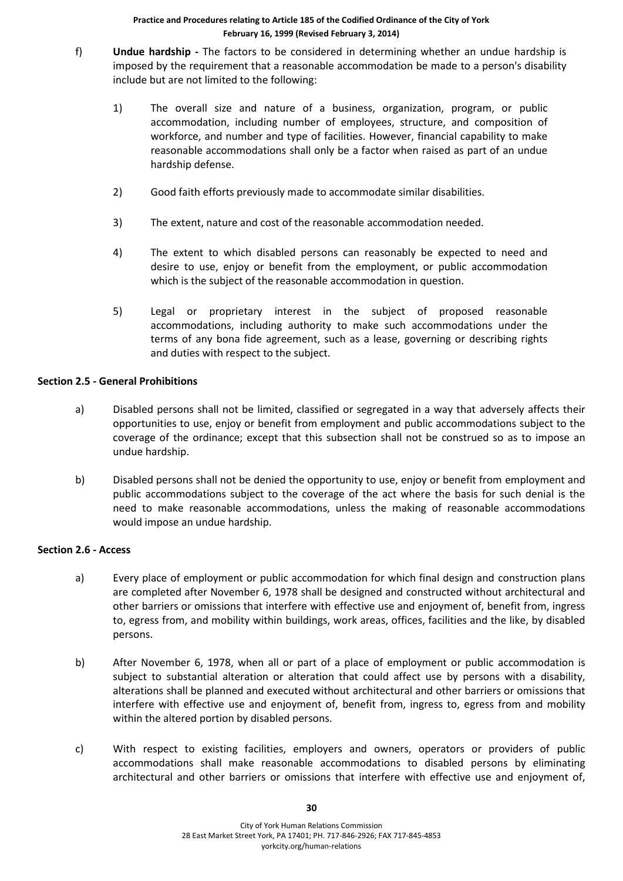- f) **Undue hardship -** The factors to be considered in determining whether an undue hardship is imposed by the requirement that a reasonable accommodation be made to a person's disability include but are not limited to the following:
	- 1) The overall size and nature of a business, organization, program, or public accommodation, including number of employees, structure, and composition of workforce, and number and type of facilities. However, financial capability to make reasonable accommodations shall only be a factor when raised as part of an undue hardship defense.
	- 2) Good faith efforts previously made to accommodate similar disabilities.
	- 3) The extent, nature and cost of the reasonable accommodation needed.
	- 4) The extent to which disabled persons can reasonably be expected to need and desire to use, enjoy or benefit from the employment, or public accommodation which is the subject of the reasonable accommodation in question.
	- 5) Legal or proprietary interest in the subject of proposed reasonable accommodations, including authority to make such accommodations under the terms of any bona fide agreement, such as a lease, governing or describing rights and duties with respect to the subject.

#### **Section 2.5 - General Prohibitions**

- a) Disabled persons shall not be limited, classified or segregated in a way that adversely affects their opportunities to use, enjoy or benefit from employment and public accommodations subject to the coverage of the ordinance; except that this subsection shall not be construed so as to impose an undue hardship.
- b) Disabled persons shall not be denied the opportunity to use, enjoy or benefit from employment and public accommodations subject to the coverage of the act where the basis for such denial is the need to make reasonable accommodations, unless the making of reasonable accommodations would impose an undue hardship.

#### **Section 2.6 - Access**

- a) Every place of employment or public accommodation for which final design and construction plans are completed after November 6, 1978 shall be designed and constructed without architectural and other barriers or omissions that interfere with effective use and enjoyment of, benefit from, ingress to, egress from, and mobility within buildings, work areas, offices, facilities and the like, by disabled persons.
- b) After November 6, 1978, when all or part of a place of employment or public accommodation is subject to substantial alteration or alteration that could affect use by persons with a disability, alterations shall be planned and executed without architectural and other barriers or omissions that interfere with effective use and enjoyment of, benefit from, ingress to, egress from and mobility within the altered portion by disabled persons.
- c) With respect to existing facilities, employers and owners, operators or providers of public accommodations shall make reasonable accommodations to disabled persons by eliminating architectural and other barriers or omissions that interfere with effective use and enjoyment of,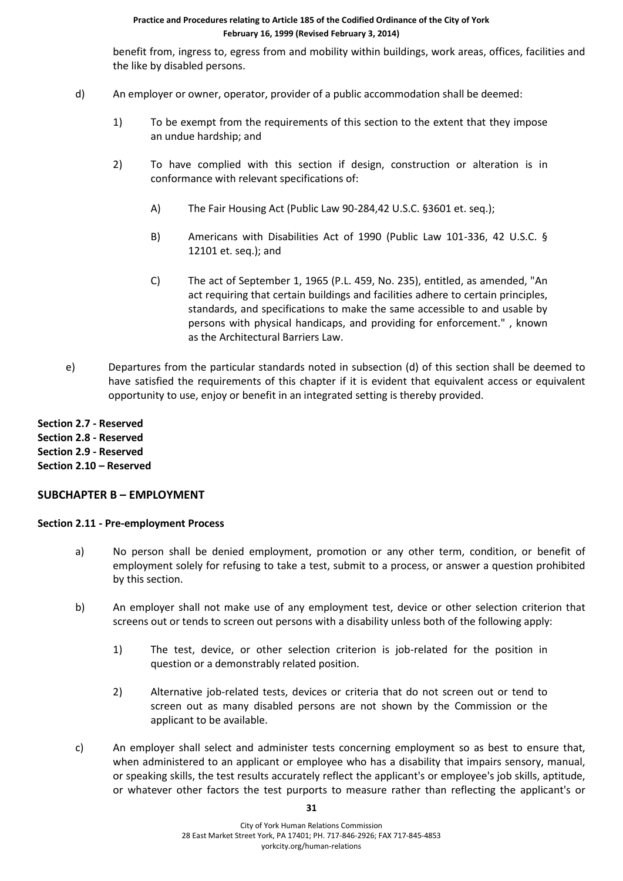benefit from, ingress to, egress from and mobility within buildings, work areas, offices, facilities and the like by disabled persons.

- d) An employer or owner, operator, provider of a public accommodation shall be deemed:
	- 1) To be exempt from the requirements of this section to the extent that they impose an undue hardship; and
	- 2) To have complied with this section if design, construction or alteration is in conformance with relevant specifications of:
		- A) The Fair Housing Act (Public Law 90-284,42 U.S.C. §3601 et. seq.);
		- B) Americans with Disabilities Act of 1990 (Public Law 101-336, 42 U.S.C. § 12101 et. seq.); and
		- C) The act of September 1, 1965 (P.L. 459, No. 235), entitled, as amended, "An act requiring that certain buildings and facilities adhere to certain principles, standards, and specifications to make the same accessible to and usable by persons with physical handicaps, and providing for enforcement." , known as the Architectural Barriers Law.
- e) Departures from the particular standards noted in subsection (d) of this section shall be deemed to have satisfied the requirements of this chapter if it is evident that equivalent access or equivalent opportunity to use, enjoy or benefit in an integrated setting is thereby provided.

**Section 2.7 - Reserved Section 2.8 - Reserved Section 2.9 - Reserved Section 2.10 – Reserved**

# **SUBCHAPTER B – EMPLOYMENT**

#### **Section 2.11 - Pre-employment Process**

- a) No person shall be denied employment, promotion or any other term, condition, or benefit of employment solely for refusing to take a test, submit to a process, or answer a question prohibited by this section.
- b) An employer shall not make use of any employment test, device or other selection criterion that screens out or tends to screen out persons with a disability unless both of the following apply:
	- 1) The test, device, or other selection criterion is job-related for the position in question or a demonstrably related position.
	- 2) Alternative job-related tests, devices or criteria that do not screen out or tend to screen out as many disabled persons are not shown by the Commission or the applicant to be available.
- c) An employer shall select and administer tests concerning employment so as best to ensure that, when administered to an applicant or employee who has a disability that impairs sensory, manual, or speaking skills, the test results accurately reflect the applicant's or employee's job skills, aptitude, or whatever other factors the test purports to measure rather than reflecting the applicant's or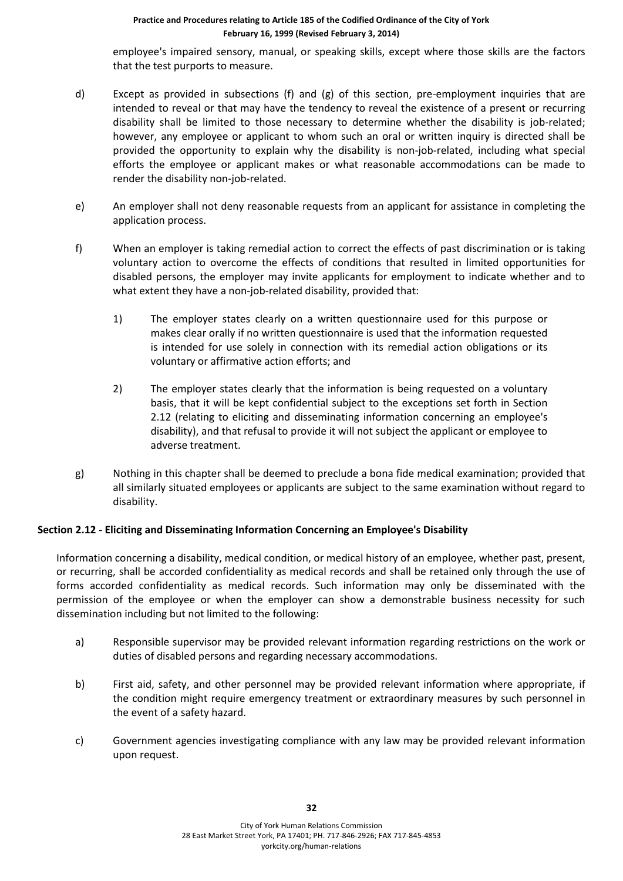employee's impaired sensory, manual, or speaking skills, except where those skills are the factors that the test purports to measure.

- d) Except as provided in subsections (f) and (g) of this section, pre-employment inquiries that are intended to reveal or that may have the tendency to reveal the existence of a present or recurring disability shall be limited to those necessary to determine whether the disability is job-related; however, any employee or applicant to whom such an oral or written inquiry is directed shall be provided the opportunity to explain why the disability is non-job-related, including what special efforts the employee or applicant makes or what reasonable accommodations can be made to render the disability non-job-related.
- e) An employer shall not deny reasonable requests from an applicant for assistance in completing the application process.
- f) When an employer is taking remedial action to correct the effects of past discrimination or is taking voluntary action to overcome the effects of conditions that resulted in limited opportunities for disabled persons, the employer may invite applicants for employment to indicate whether and to what extent they have a non-job-related disability, provided that:
	- 1) The employer states clearly on a written questionnaire used for this purpose or makes clear orally if no written questionnaire is used that the information requested is intended for use solely in connection with its remedial action obligations or its voluntary or affirmative action efforts; and
	- 2) The employer states clearly that the information is being requested on a voluntary basis, that it will be kept confidential subject to the exceptions set forth in Section 2.12 (relating to eliciting and disseminating information concerning an employee's disability), and that refusal to provide it will not subject the applicant or employee to adverse treatment.
- g) Nothing in this chapter shall be deemed to preclude a bona fide medical examination; provided that all similarly situated employees or applicants are subject to the same examination without regard to disability.

# **Section 2.12 - Eliciting and Disseminating Information Concerning an Employee's Disability**

Information concerning a disability, medical condition, or medical history of an employee, whether past, present, or recurring, shall be accorded confidentiality as medical records and shall be retained only through the use of forms accorded confidentiality as medical records. Such information may only be disseminated with the permission of the employee or when the employer can show a demonstrable business necessity for such dissemination including but not limited to the following:

- a) Responsible supervisor may be provided relevant information regarding restrictions on the work or duties of disabled persons and regarding necessary accommodations.
- b) First aid, safety, and other personnel may be provided relevant information where appropriate, if the condition might require emergency treatment or extraordinary measures by such personnel in the event of a safety hazard.
- c) Government agencies investigating compliance with any law may be provided relevant information upon request.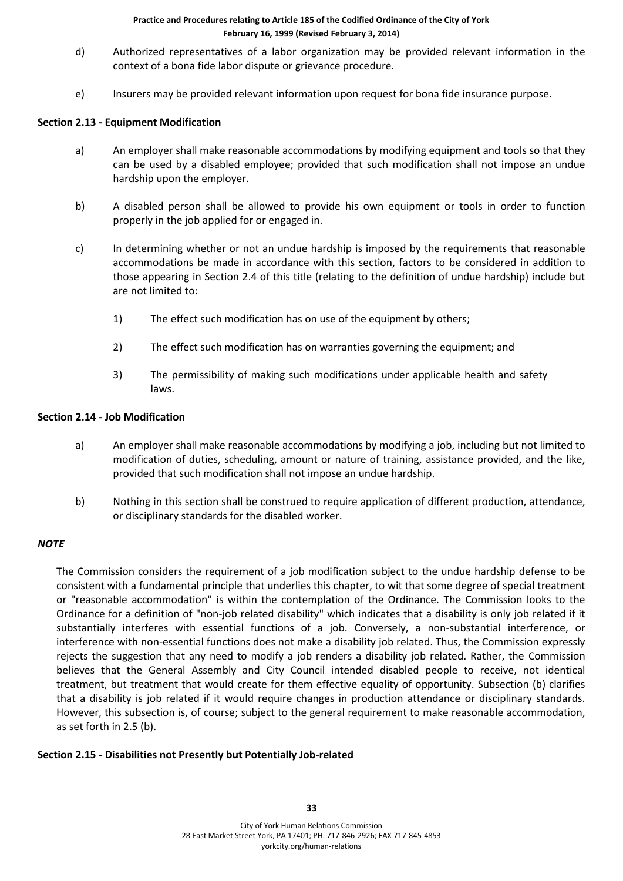- d) Authorized representatives of a labor organization may be provided relevant information in the context of a bona fide labor dispute or grievance procedure.
- e) Insurers may be provided relevant information upon request for bona fide insurance purpose.

# **Section 2.13 - Equipment Modification**

- a) An employer shall make reasonable accommodations by modifying equipment and tools so that they can be used by a disabled employee; provided that such modification shall not impose an undue hardship upon the employer.
- b) A disabled person shall be allowed to provide his own equipment or tools in order to function properly in the job applied for or engaged in.
- c) In determining whether or not an undue hardship is imposed by the requirements that reasonable accommodations be made in accordance with this section, factors to be considered in addition to those appearing in Section 2.4 of this title (relating to the definition of undue hardship) include but are not limited to:
	- 1) The effect such modification has on use of the equipment by others;
	- 2) The effect such modification has on warranties governing the equipment; and
	- 3) The permissibility of making such modifications under applicable health and safety laws.

#### **Section 2.14 - Job Modification**

- a) An employer shall make reasonable accommodations by modifying a job, including but not limited to modification of duties, scheduling, amount or nature of training, assistance provided, and the like, provided that such modification shall not impose an undue hardship.
- b) Nothing in this section shall be construed to require application of different production, attendance, or disciplinary standards for the disabled worker.

# *NOTE*

The Commission considers the requirement of a job modification subject to the undue hardship defense to be consistent with a fundamental principle that underlies this chapter, to wit that some degree of special treatment or "reasonable accommodation" is within the contemplation of the Ordinance. The Commission looks to the Ordinance for a definition of "non-job related disability" which indicates that a disability is only job related if it substantially interferes with essential functions of a job. Conversely, a non-substantial interference, or interference with non-essential functions does not make a disability job related. Thus, the Commission expressly rejects the suggestion that any need to modify a job renders a disability job related. Rather, the Commission believes that the General Assembly and City Council intended disabled people to receive, not identical treatment, but treatment that would create for them effective equality of opportunity. Subsection (b) clarifies that a disability is job related if it would require changes in production attendance or disciplinary standards. However, this subsection is, of course; subject to the general requirement to make reasonable accommodation, as set forth in 2.5 (b).

# **Section 2.15 - Disabilities not Presently but Potentially Job-related**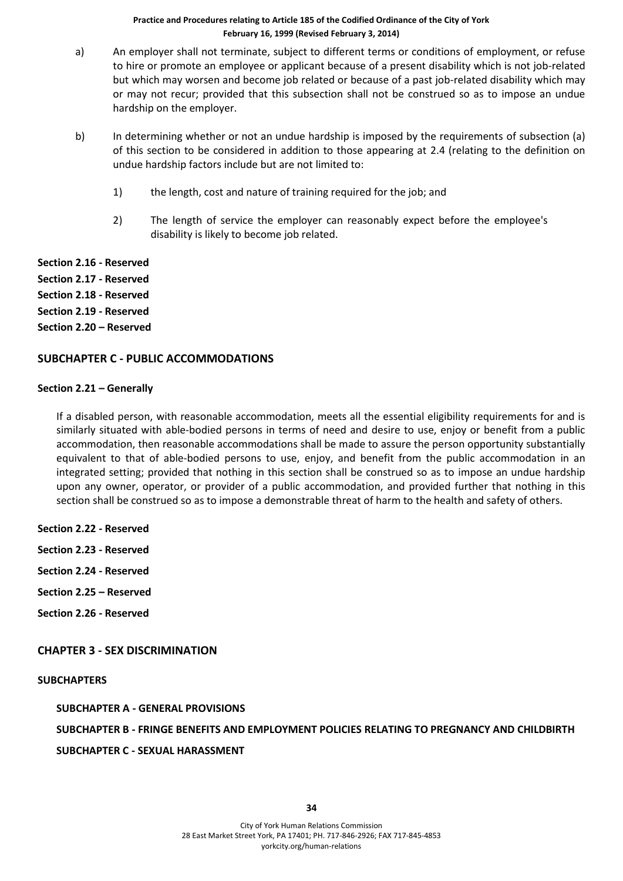- a) An employer shall not terminate, subject to different terms or conditions of employment, or refuse to hire or promote an employee or applicant because of a present disability which is not job-related but which may worsen and become job related or because of a past job-related disability which may or may not recur; provided that this subsection shall not be construed so as to impose an undue hardship on the employer.
- b) In determining whether or not an undue hardship is imposed by the requirements of subsection (a) of this section to be considered in addition to those appearing at 2.4 (relating to the definition on undue hardship factors include but are not limited to:
	- 1) the length, cost and nature of training required for the job; and
	- 2) The length of service the employer can reasonably expect before the employee's disability is likely to become job related.

**Section 2.16 - Reserved Section 2.17 - Reserved Section 2.18 - Reserved Section 2.19 - Reserved Section 2.20 – Reserved**

# **SUBCHAPTER C - PUBLIC ACCOMMODATIONS**

#### **Section 2.21 – Generally**

If a disabled person, with reasonable accommodation, meets all the essential eligibility requirements for and is similarly situated with able-bodied persons in terms of need and desire to use, enjoy or benefit from a public accommodation, then reasonable accommodations shall be made to assure the person opportunity substantially equivalent to that of able-bodied persons to use, enjoy, and benefit from the public accommodation in an integrated setting; provided that nothing in this section shall be construed so as to impose an undue hardship upon any owner, operator, or provider of a public accommodation, and provided further that nothing in this section shall be construed so as to impose a demonstrable threat of harm to the health and safety of others.

- **Section 2.22 - Reserved**
- **Section 2.23 - Reserved**
- **Section 2.24 - Reserved**
- **Section 2.25 – Reserved**
- **Section 2.26 - Reserved**

# **CHAPTER 3 - SEX DISCRIMINATION**

#### **SUBCHAPTERS**

**SUBCHAPTER A - GENERAL PROVISIONS SUBCHAPTER B - FRINGE BENEFITS AND EMPLOYMENT POLICIES RELATING TO PREGNANCY AND CHILDBIRTH SUBCHAPTER C - SEXUAL HARASSMENT**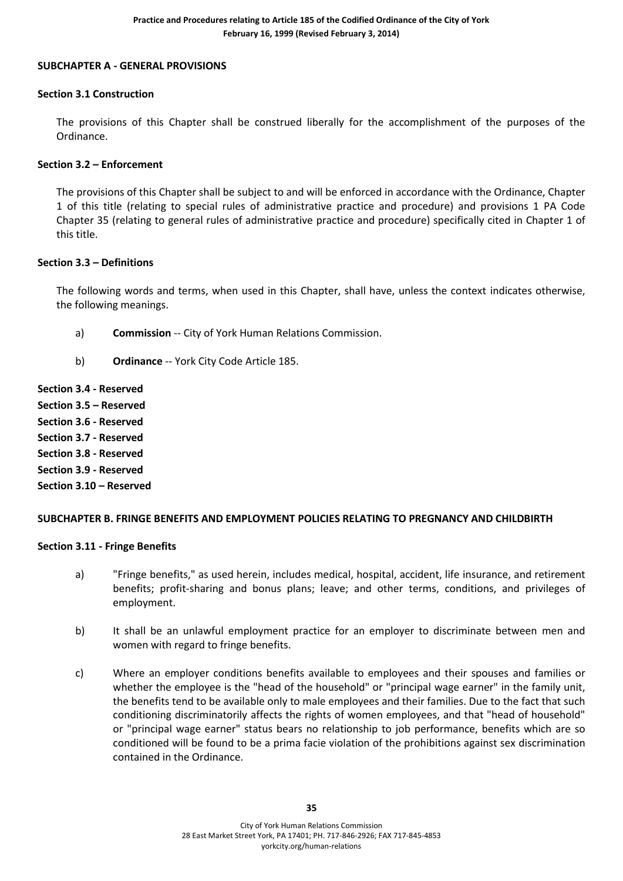#### **SUBCHAPTER A - GENERAL PROVISIONS**

#### **Section 3.1 Construction**

The provisions of this Chapter shall be construed liberally for the accomplishment of the purposes of the Ordinance.

### **Section 3.2 – Enforcement**

The provisions of this Chapter shall be subject to and will be enforced in accordance with the Ordinance, Chapter 1 of this title (relating to special rules of administrative practice and procedure) and provisions 1 PA Code Chapter 35 (relating to general rules of administrative practice and procedure) specifically cited in Chapter 1 of this title.

#### **Section 3.3 – Definitions**

The following words and terms, when used in this Chapter, shall have, unless the context indicates otherwise, the following meanings.

- a) **Commission** -- City of York Human Relations Commission.
- b) **Ordinance** -- York City Code Article 185.

**Section 3.4 - Reserved Section 3.5 – Reserved Section 3.6 - Reserved**

**Section 3.7 - Reserved**

**Section 3.8 - Reserved**

**Section 3.9 - Reserved**

**Section 3.10 – Reserved**

# **SUBCHAPTER B. FRINGE BENEFITS AND EMPLOYMENT POLICIES RELATING TO PREGNANCY AND CHILDBIRTH**

#### **Section 3.11 - Fringe Benefits**

- a) "Fringe benefits," as used herein, includes medical, hospital, accident, life insurance, and retirement benefits; profit-sharing and bonus plans; leave; and other terms, conditions, and privileges of employment.
- b) It shall be an unlawful employment practice for an employer to discriminate between men and women with regard to fringe benefits.
- c) Where an employer conditions benefits available to employees and their spouses and families or whether the employee is the "head of the household" or "principal wage earner" in the family unit, the benefits tend to be available only to male employees and their families. Due to the fact that such conditioning discriminatorily affects the rights of women employees, and that "head of household" or "principal wage earner" status bears no relationship to job performance, benefits which are so conditioned will be found to be a prima facie violation of the prohibitions against sex discrimination contained in the Ordinance.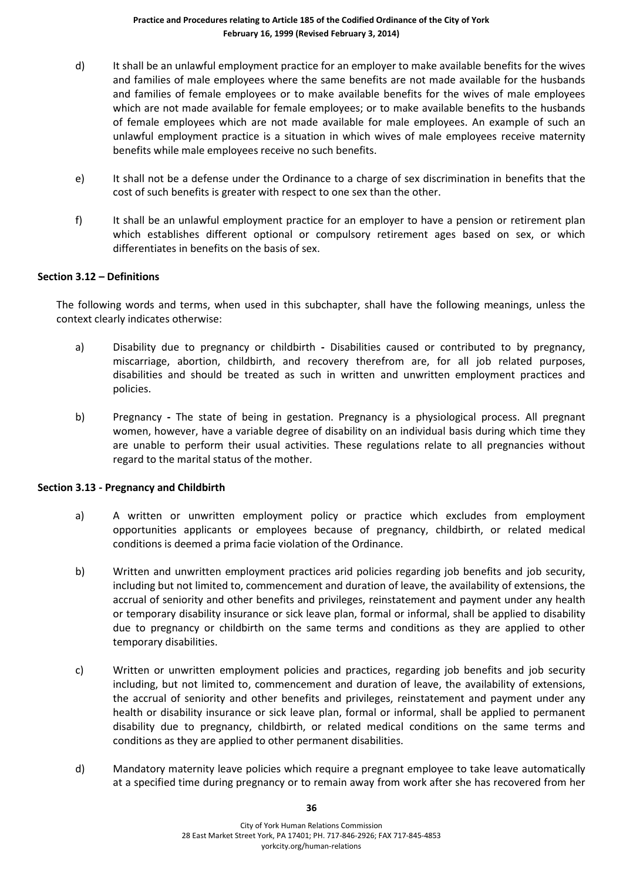- d) It shall be an unlawful employment practice for an employer to make available benefits for the wives and families of male employees where the same benefits are not made available for the husbands and families of female employees or to make available benefits for the wives of male employees which are not made available for female employees; or to make available benefits to the husbands of female employees which are not made available for male employees. An example of such an unlawful employment practice is a situation in which wives of male employees receive maternity benefits while male employees receive no such benefits.
- e) It shall not be a defense under the Ordinance to a charge of sex discrimination in benefits that the cost of such benefits is greater with respect to one sex than the other.
- f) It shall be an unlawful employment practice for an employer to have a pension or retirement plan which establishes different optional or compulsory retirement ages based on sex, or which differentiates in benefits on the basis of sex.

#### **Section 3.12 – Definitions**

The following words and terms, when used in this subchapter, shall have the following meanings, unless the context clearly indicates otherwise:

- a) Disability due to pregnancy or childbirth **-** Disabilities caused or contributed to by pregnancy, miscarriage, abortion, childbirth, and recovery therefrom are, for all job related purposes, disabilities and should be treated as such in written and unwritten employment practices and policies.
- b) Pregnancy **-** The state of being in gestation. Pregnancy is a physiological process. All pregnant women, however, have a variable degree of disability on an individual basis during which time they are unable to perform their usual activities. These regulations relate to all pregnancies without regard to the marital status of the mother.

#### **Section 3.13 - Pregnancy and Childbirth**

- a) A written or unwritten employment policy or practice which excludes from employment opportunities applicants or employees because of pregnancy, childbirth, or related medical conditions is deemed a prima facie violation of the Ordinance.
- b) Written and unwritten employment practices arid policies regarding job benefits and job security, including but not limited to, commencement and duration of leave, the availability of extensions, the accrual of seniority and other benefits and privileges, reinstatement and payment under any health or temporary disability insurance or sick leave plan, formal or informal, shall be applied to disability due to pregnancy or childbirth on the same terms and conditions as they are applied to other temporary disabilities.
- c) Written or unwritten employment policies and practices, regarding job benefits and job security including, but not limited to, commencement and duration of leave, the availability of extensions, the accrual of seniority and other benefits and privileges, reinstatement and payment under any health or disability insurance or sick leave plan, formal or informal, shall be applied to permanent disability due to pregnancy, childbirth, or related medical conditions on the same terms and conditions as they are applied to other permanent disabilities.
- d) Mandatory maternity leave policies which require a pregnant employee to take leave automatically at a specified time during pregnancy or to remain away from work after she has recovered from her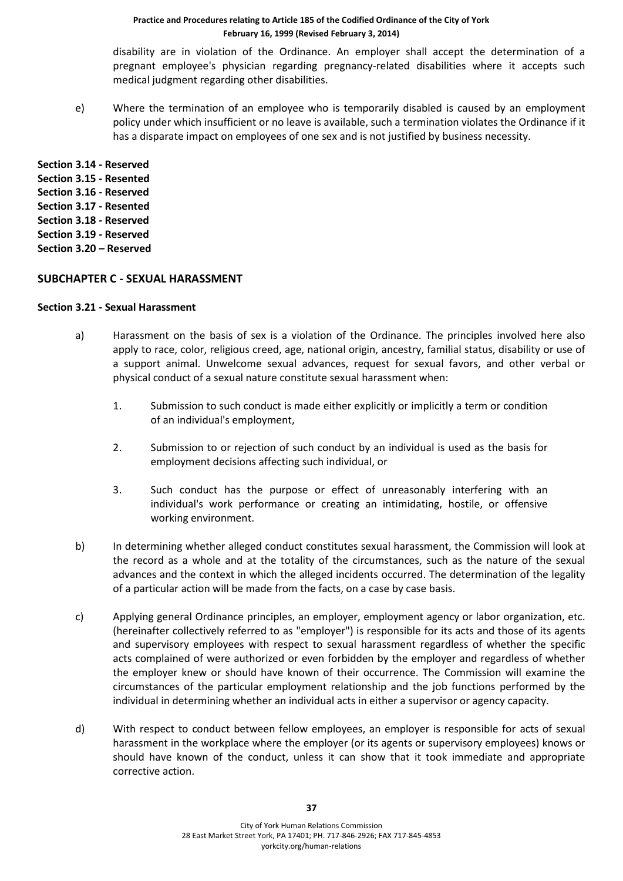disability are in violation of the Ordinance. An employer shall accept the determination of a pregnant employee's physician regarding pregnancy-related disabilities where it accepts such medical judgment regarding other disabilities.

e) Where the termination of an employee who is temporarily disabled is caused by an employment policy under which insufficient or no leave is available, such a termination violates the Ordinance if it has a disparate impact on employees of one sex and is not justified by business necessity.

**Section 3.14 - Reserved Section 3.15 - Resented Section 3.16 - Reserved Section 3.17 - Resented Section 3.18 - Reserved Section 3.19 - Reserved Section 3.20 – Reserved**

#### **SUBCHAPTER C - SEXUAL HARASSMENT**

#### **Section 3.21 - Sexual Harassment**

- a) Harassment on the basis of sex is a violation of the Ordinance. The principles involved here also apply to race, color, religious creed, age, national origin, ancestry, familial status, disability or use of a support animal. Unwelcome sexual advances, request for sexual favors, and other verbal or physical conduct of a sexual nature constitute sexual harassment when:
	- 1. Submission to such conduct is made either explicitly or implicitly a term or condition of an individual's employment,
	- 2. Submission to or rejection of such conduct by an individual is used as the basis for employment decisions affecting such individual, or
	- 3. Such conduct has the purpose or effect of unreasonably interfering with an individual's work performance or creating an intimidating, hostile, or offensive working environment.
- b) In determining whether alleged conduct constitutes sexual harassment, the Commission will look at the record as a whole and at the totality of the circumstances, such as the nature of the sexual advances and the context in which the alleged incidents occurred. The determination of the legality of a particular action will be made from the facts, on a case by case basis.
- c) Applying general Ordinance principles, an employer, employment agency or labor organization, etc. (hereinafter collectively referred to as "employer") is responsible for its acts and those of its agents and supervisory employees with respect to sexual harassment regardless of whether the specific acts complained of were authorized or even forbidden by the employer and regardless of whether the employer knew or should have known of their occurrence. The Commission will examine the circumstances of the particular employment relationship and the job functions performed by the individual in determining whether an individual acts in either a supervisor or agency capacity.
- d) With respect to conduct between fellow employees, an employer is responsible for acts of sexual harassment in the workplace where the employer (or its agents or supervisory employees) knows or should have known of the conduct, unless it can show that it took immediate and appropriate corrective action.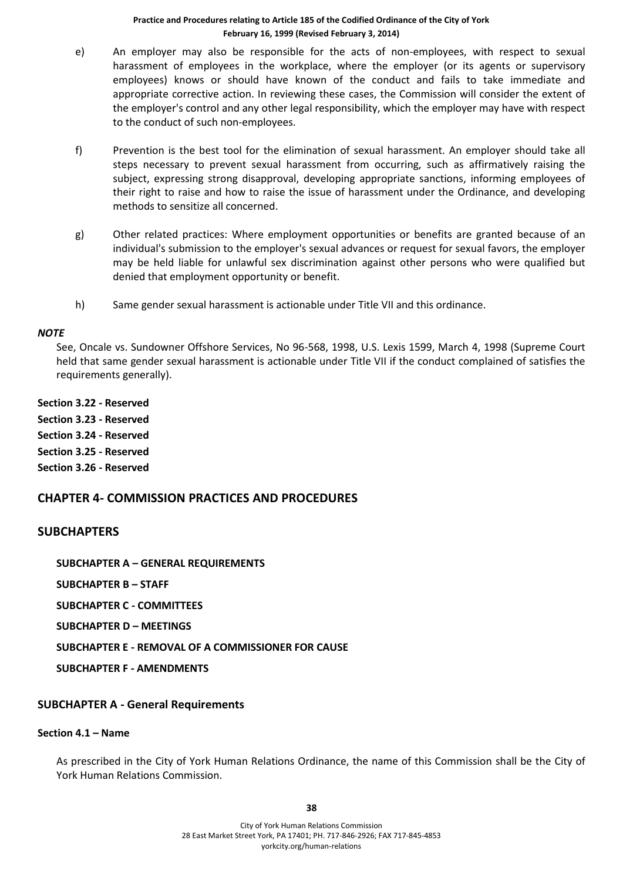- e) An employer may also be responsible for the acts of non-employees, with respect to sexual harassment of employees in the workplace, where the employer (or its agents or supervisory employees) knows or should have known of the conduct and fails to take immediate and appropriate corrective action. In reviewing these cases, the Commission will consider the extent of the employer's control and any other legal responsibility, which the employer may have with respect to the conduct of such non-employees.
- f) Prevention is the best tool for the elimination of sexual harassment. An employer should take all steps necessary to prevent sexual harassment from occurring, such as affirmatively raising the subject, expressing strong disapproval, developing appropriate sanctions, informing employees of their right to raise and how to raise the issue of harassment under the Ordinance, and developing methods to sensitize all concerned.
- g) Other related practices: Where employment opportunities or benefits are granted because of an individual's submission to the employer's sexual advances or request for sexual favors, the employer may be held liable for unlawful sex discrimination against other persons who were qualified but denied that employment opportunity or benefit.
- h) Same gender sexual harassment is actionable under Title VII and this ordinance.

#### *NOTE*

See, Oncale vs. Sundowner Offshore Services, No 96-568, 1998, U.S. Lexis 1599, March 4, 1998 (Supreme Court held that same gender sexual harassment is actionable under Title VII if the conduct complained of satisfies the requirements generally).

**Section 3.22 - Reserved Section 3.23 - Reserved Section 3.24 - Reserved Section 3.25 - Reserved Section 3.26 - Reserved**

# **CHAPTER 4- COMMISSION PRACTICES AND PROCEDURES**

# **SUBCHAPTERS**

**SUBCHAPTER A – GENERAL REQUIREMENTS**

**SUBCHAPTER B – STAFF**

**SUBCHAPTER C - COMMITTEES**

**SUBCHAPTER D – MEETINGS**

**SUBCHAPTER E - REMOVAL OF A COMMISSIONER FOR CAUSE**

**SUBCHAPTER F - AMENDMENTS**

# **SUBCHAPTER A - General Requirements**

#### **Section 4.1 – Name**

As prescribed in the City of York Human Relations Ordinance, the name of this Commission shall be the City of York Human Relations Commission.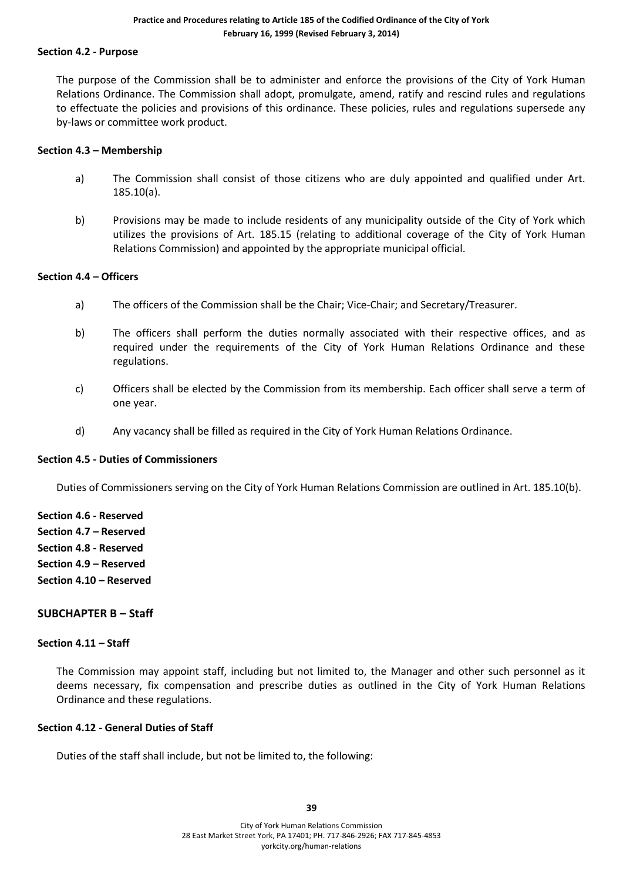#### **Section 4.2 - Purpose**

The purpose of the Commission shall be to administer and enforce the provisions of the City of York Human Relations Ordinance. The Commission shall adopt, promulgate, amend, ratify and rescind rules and regulations to effectuate the policies and provisions of this ordinance. These policies, rules and regulations supersede any by-laws or committee work product.

#### **Section 4.3 – Membership**

- a) The Commission shall consist of those citizens who are duly appointed and qualified under Art. 185.10(a).
- b) Provisions may be made to include residents of any municipality outside of the City of York which utilizes the provisions of Art. 185.15 (relating to additional coverage of the City of York Human Relations Commission) and appointed by the appropriate municipal official.

#### **Section 4.4 – Officers**

- a) The officers of the Commission shall be the Chair; Vice-Chair; and Secretary/Treasurer.
- b) The officers shall perform the duties normally associated with their respective offices, and as required under the requirements of the City of York Human Relations Ordinance and these regulations.
- c) Officers shall be elected by the Commission from its membership. Each officer shall serve a term of one year.
- d) Any vacancy shall be filled as required in the City of York Human Relations Ordinance.

#### **Section 4.5 - Duties of Commissioners**

Duties of Commissioners serving on the City of York Human Relations Commission are outlined in Art. 185.10(b).

**Section 4.6 - Reserved Section 4.7 – Reserved Section 4.8 - Reserved Section 4.9 – Reserved Section 4.10 – Reserved**

# **SUBCHAPTER B – Staff**

#### **Section 4.11 – Staff**

The Commission may appoint staff, including but not limited to, the Manager and other such personnel as it deems necessary, fix compensation and prescribe duties as outlined in the City of York Human Relations Ordinance and these regulations.

# **Section 4.12 - General Duties of Staff**

Duties of the staff shall include, but not be limited to, the following: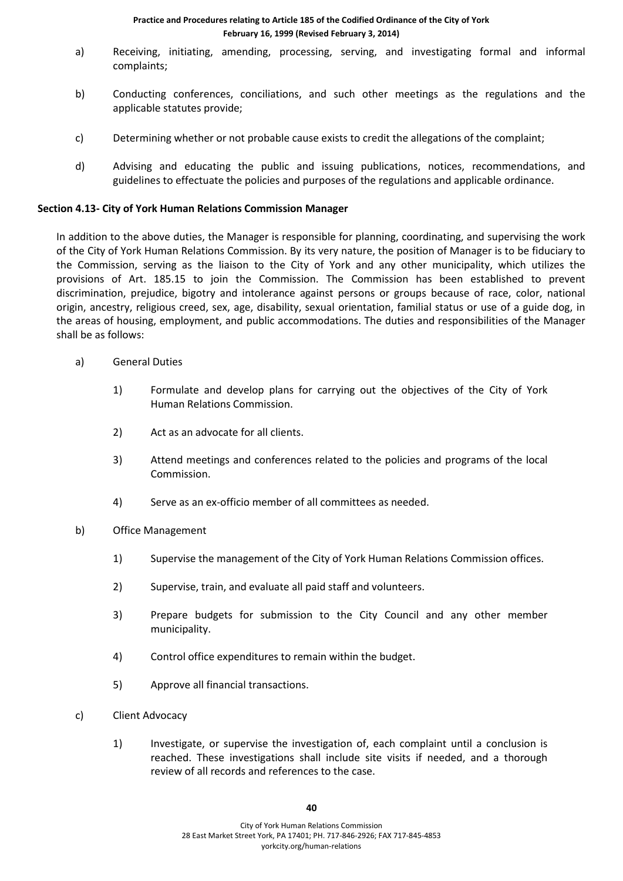- a) Receiving, initiating, amending, processing, serving, and investigating formal and informal complaints;
- b) Conducting conferences, conciliations, and such other meetings as the regulations and the applicable statutes provide;
- c) Determining whether or not probable cause exists to credit the allegations of the complaint;
- d) Advising and educating the public and issuing publications, notices, recommendations, and guidelines to effectuate the policies and purposes of the regulations and applicable ordinance.

#### **Section 4.13- City of York Human Relations Commission Manager**

In addition to the above duties, the Manager is responsible for planning, coordinating, and supervising the work of the City of York Human Relations Commission. By its very nature, the position of Manager is to be fiduciary to the Commission, serving as the liaison to the City of York and any other municipality, which utilizes the provisions of Art. 185.15 to join the Commission. The Commission has been established to prevent discrimination, prejudice, bigotry and intolerance against persons or groups because of race, color, national origin, ancestry, religious creed, sex, age, disability, sexual orientation, familial status or use of a guide dog, in the areas of housing, employment, and public accommodations. The duties and responsibilities of the Manager shall be as follows:

- a) General Duties
	- 1) Formulate and develop plans for carrying out the objectives of the City of York Human Relations Commission.
	- 2) Act as an advocate for all clients.
	- 3) Attend meetings and conferences related to the policies and programs of the local Commission.
	- 4) Serve as an ex-officio member of all committees as needed.
- b) Office Management
	- 1) Supervise the management of the City of York Human Relations Commission offices.
	- 2) Supervise, train, and evaluate all paid staff and volunteers.
	- 3) Prepare budgets for submission to the City Council and any other member municipality.
	- 4) Control office expenditures to remain within the budget.
	- 5) Approve all financial transactions.
- c) Client Advocacy
	- 1) Investigate, or supervise the investigation of, each complaint until a conclusion is reached. These investigations shall include site visits if needed, and a thorough review of all records and references to the case.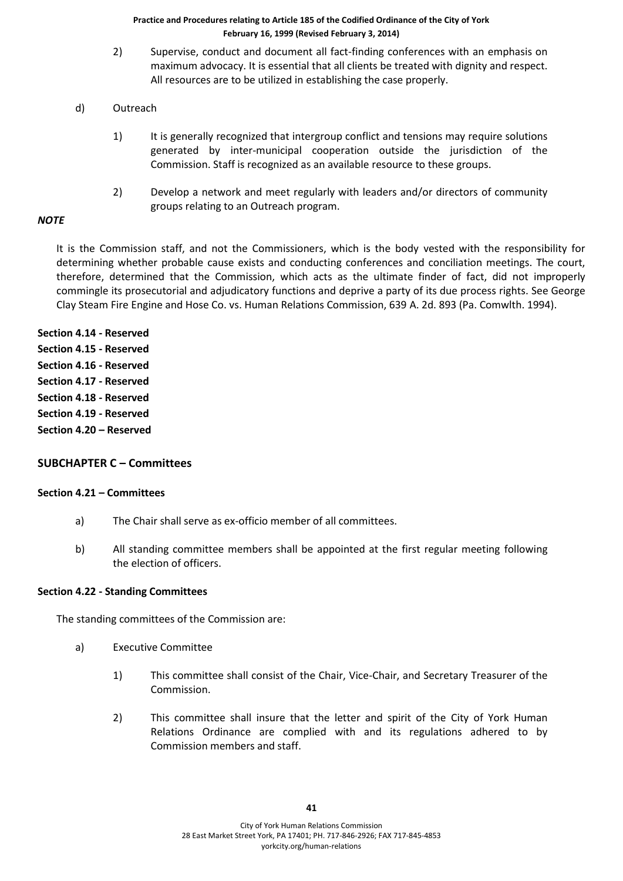- 2) Supervise, conduct and document all fact-finding conferences with an emphasis on maximum advocacy. It is essential that all clients be treated with dignity and respect. All resources are to be utilized in establishing the case properly.
- d) Outreach
	- 1) It is generally recognized that intergroup conflict and tensions may require solutions generated by inter-municipal cooperation outside the jurisdiction of the Commission. Staff is recognized as an available resource to these groups.
	- 2) Develop a network and meet regularly with leaders and/or directors of community groups relating to an Outreach program.

#### *NOTE*

It is the Commission staff, and not the Commissioners, which is the body vested with the responsibility for determining whether probable cause exists and conducting conferences and conciliation meetings. The court, therefore, determined that the Commission, which acts as the ultimate finder of fact, did not improperly commingle its prosecutorial and adjudicatory functions and deprive a party of its due process rights. See George Clay Steam Fire Engine and Hose Co. vs. Human Relations Commission, 639 A. 2d. 893 (Pa. Comwlth. 1994).

**Section 4.14 - Reserved Section 4.15 - Reserved Section 4.16 - Reserved Section 4.17 - Reserved Section 4.18 - Reserved Section 4.19 - Reserved Section 4.20 – Reserved**

# **SUBCHAPTER C – Committees**

#### **Section 4.21 – Committees**

- a) The Chair shall serve as ex-officio member of all committees.
- b) All standing committee members shall be appointed at the first regular meeting following the election of officers.

#### **Section 4.22 - Standing Committees**

The standing committees of the Commission are:

- a) Executive Committee
	- 1) This committee shall consist of the Chair, Vice-Chair, and Secretary Treasurer of the Commission.
	- 2) This committee shall insure that the letter and spirit of the City of York Human Relations Ordinance are complied with and its regulations adhered to by Commission members and staff.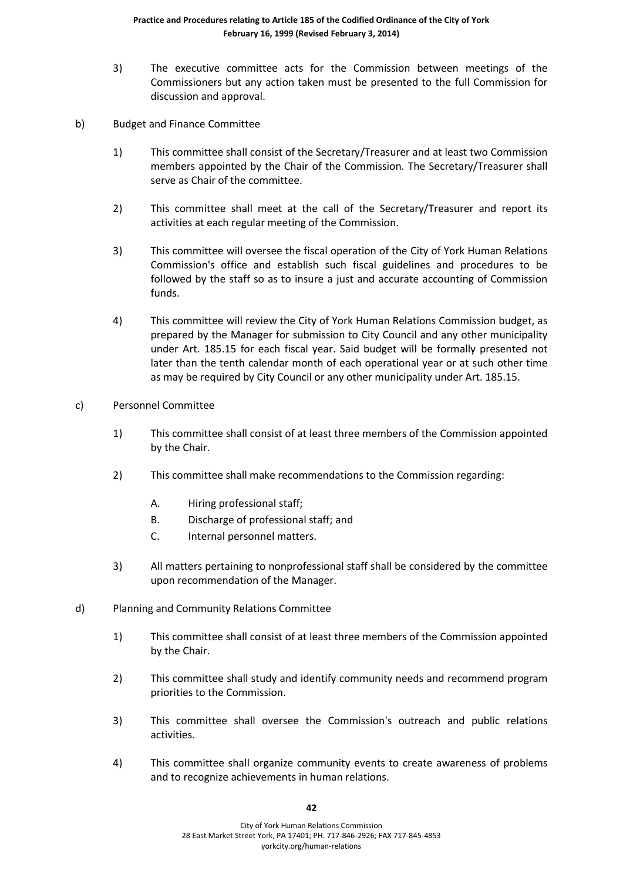- 3) The executive committee acts for the Commission between meetings of the Commissioners but any action taken must be presented to the full Commission for discussion and approval.
- b) Budget and Finance Committee
	- 1) This committee shall consist of the Secretary/Treasurer and at least two Commission members appointed by the Chair of the Commission. The Secretary/Treasurer shall serve as Chair of the committee.
	- 2) This committee shall meet at the call of the Secretary/Treasurer and report its activities at each regular meeting of the Commission.
	- 3) This committee will oversee the fiscal operation of the City of York Human Relations Commission's office and establish such fiscal guidelines and procedures to be followed by the staff so as to insure a just and accurate accounting of Commission funds.
	- 4) This committee will review the City of York Human Relations Commission budget, as prepared by the Manager for submission to City Council and any other municipality under Art. 185.15 for each fiscal year. Said budget will be formally presented not later than the tenth calendar month of each operational year or at such other time as may be required by City Council or any other municipality under Art. 185.15.
- c) Personnel Committee
	- 1) This committee shall consist of at least three members of the Commission appointed by the Chair.
	- 2) This committee shall make recommendations to the Commission regarding:
		- A. Hiring professional staff;
		- B. Discharge of professional staff; and
		- C. Internal personnel matters.
	- 3) All matters pertaining to nonprofessional staff shall be considered by the committee upon recommendation of the Manager.
- d) Planning and Community Relations Committee
	- 1) This committee shall consist of at least three members of the Commission appointed by the Chair.
	- 2) This committee shall study and identify community needs and recommend program priorities to the Commission.
	- 3) This committee shall oversee the Commission's outreach and public relations activities.
	- 4) This committee shall organize community events to create awareness of problems and to recognize achievements in human relations.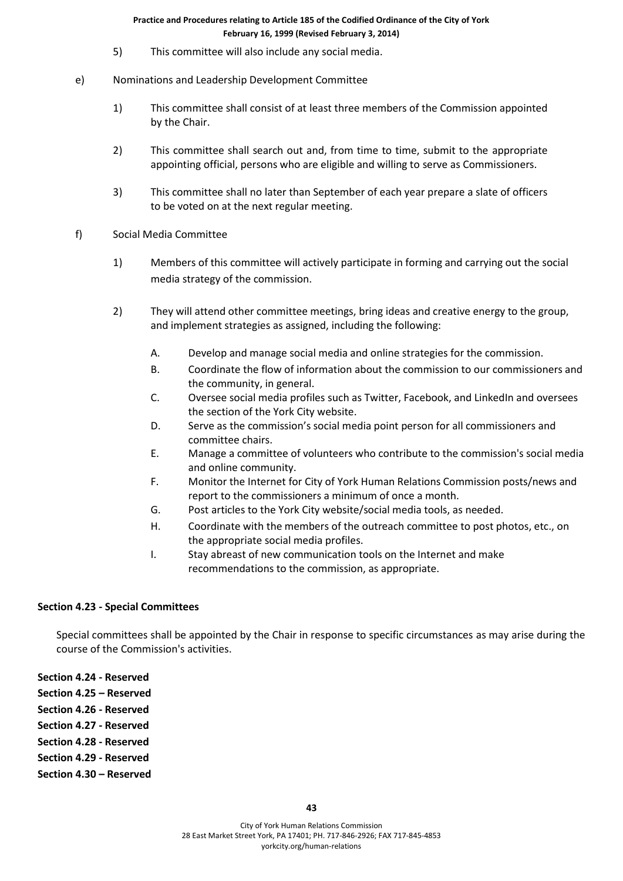- 5) This committee will also include any social media.
- e) Nominations and Leadership Development Committee
	- 1) This committee shall consist of at least three members of the Commission appointed by the Chair.
	- 2) This committee shall search out and, from time to time, submit to the appropriate appointing official, persons who are eligible and willing to serve as Commissioners.
	- 3) This committee shall no later than September of each year prepare a slate of officers to be voted on at the next regular meeting.
- f) Social Media Committee
	- 1) Members of this committee will actively participate in forming and carrying out the social media strategy of the commission.
	- 2) They will attend other committee meetings, bring ideas and creative energy to the group, and implement strategies as assigned, including the following:
		- A. Develop and manage social media and online strategies for the commission.
		- B. Coordinate the flow of information about the commission to our commissioners and the community, in general.
		- C. Oversee social media profiles such as Twitter, Facebook, and LinkedIn and oversees the section of the York City website.
		- D. Serve as the commission's social media point person for all commissioners and committee chairs.
		- E. Manage a committee of volunteers who contribute to the commission's social media and online community.
		- F. Monitor the Internet for City of York Human Relations Commission posts/news and report to the commissioners a minimum of once a month.
		- G. Post articles to the York City website/social media tools, as needed.
		- H. Coordinate with the members of the outreach committee to post photos, etc., on the appropriate social media profiles.
		- I. Stay abreast of new communication tools on the Internet and make recommendations to the commission, as appropriate.

# **Section 4.23 - Special Committees**

Special committees shall be appointed by the Chair in response to specific circumstances as may arise during the course of the Commission's activities.

**Section 4.24 - Reserved**

- **Section 4.25 – Reserved**
- **Section 4.26 - Reserved Section 4.27 - Reserved**
- **Section 4.28 - Reserved**
- **Section 4.29 - Reserved**
- **Section 4.30 – Reserved**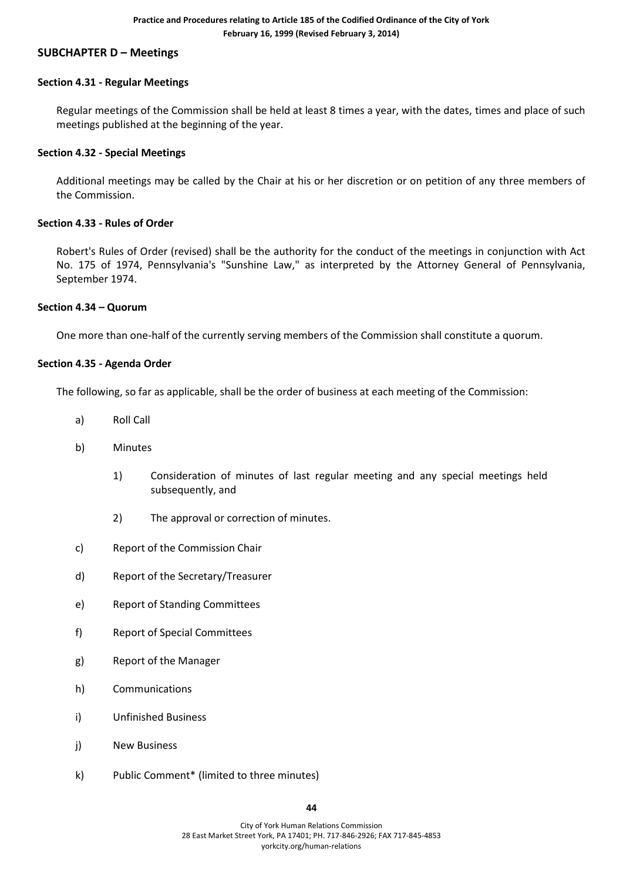# **SUBCHAPTER D – Meetings**

#### **Section 4.31 - Regular Meetings**

Regular meetings of the Commission shall be held at least 8 times a year, with the dates, times and place of such meetings published at the beginning of the year.

#### **Section 4.32 - Special Meetings**

Additional meetings may be called by the Chair at his or her discretion or on petition of any three members of the Commission.

#### **Section 4.33 - Rules of Order**

Robert's Rules of Order (revised) shall be the authority for the conduct of the meetings in conjunction with Act No. 175 of 1974, Pennsylvania's "Sunshine Law," as interpreted by the Attorney General of Pennsylvania, September 1974.

#### **Section 4.34 – Quorum**

One more than one-half of the currently serving members of the Commission shall constitute a quorum.

#### **Section 4.35 - Agenda Order**

The following, so far as applicable, shall be the order of business at each meeting of the Commission:

- a) Roll Call
- b) Minutes
	- 1) Consideration of minutes of last regular meeting and any special meetings held subsequently, and
	- 2) The approval or correction of minutes.
- c) Report of the Commission Chair
- d) Report of the Secretary/Treasurer
- e) Report of Standing Committees
- f) Report of Special Committees
- g) Report of the Manager
- h) Communications
- i) Unfinished Business
- j) New Business
- k) Public Comment\* (limited to three minutes)